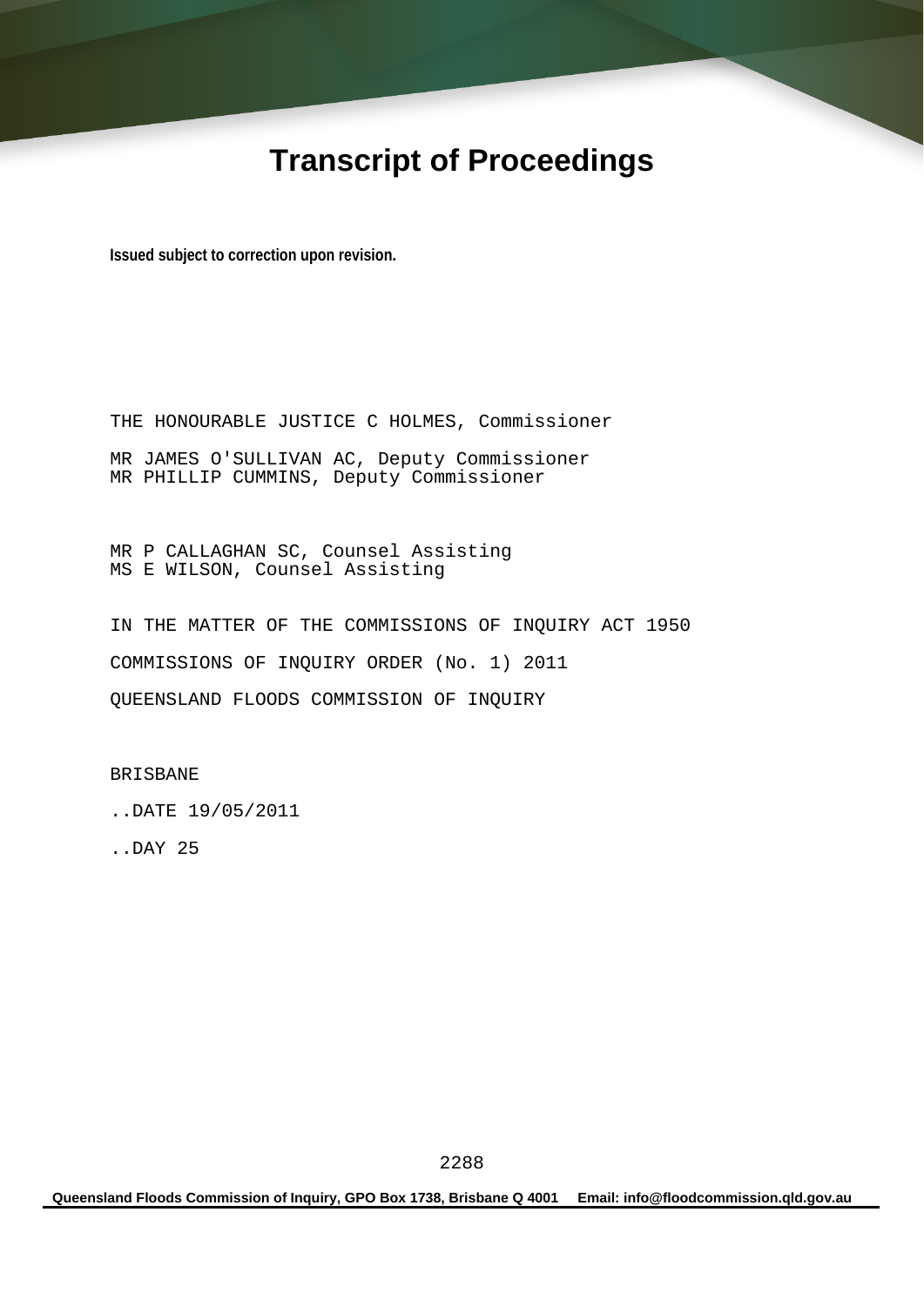# **Transcript of Proceedings**

**Issued subject to correction upon revision.** 

THE HONOURABLE JUSTICE C HOLMES, Commissioner MR JAMES O'SULLIVAN AC, Deputy Commissioner MR PHILLIP CUMMINS, Deputy Commissioner

MR P CALLAGHAN SC, Counsel Assisting MS E WILSON, Counsel Assisting

IN THE MATTER OF THE COMMISSIONS OF INQUIRY ACT 1950 COMMISSIONS OF INQUIRY ORDER (No. 1) 2011 QUEENSLAND FLOODS COMMISSION OF INQUIRY

BRISBANE

..DATE 19/05/2011

..DAY 25

**Queensland Floods Commission of Inquiry, GPO Box 1738, Brisbane Q 4001 Email: info@floodcommission.qld.gov.au**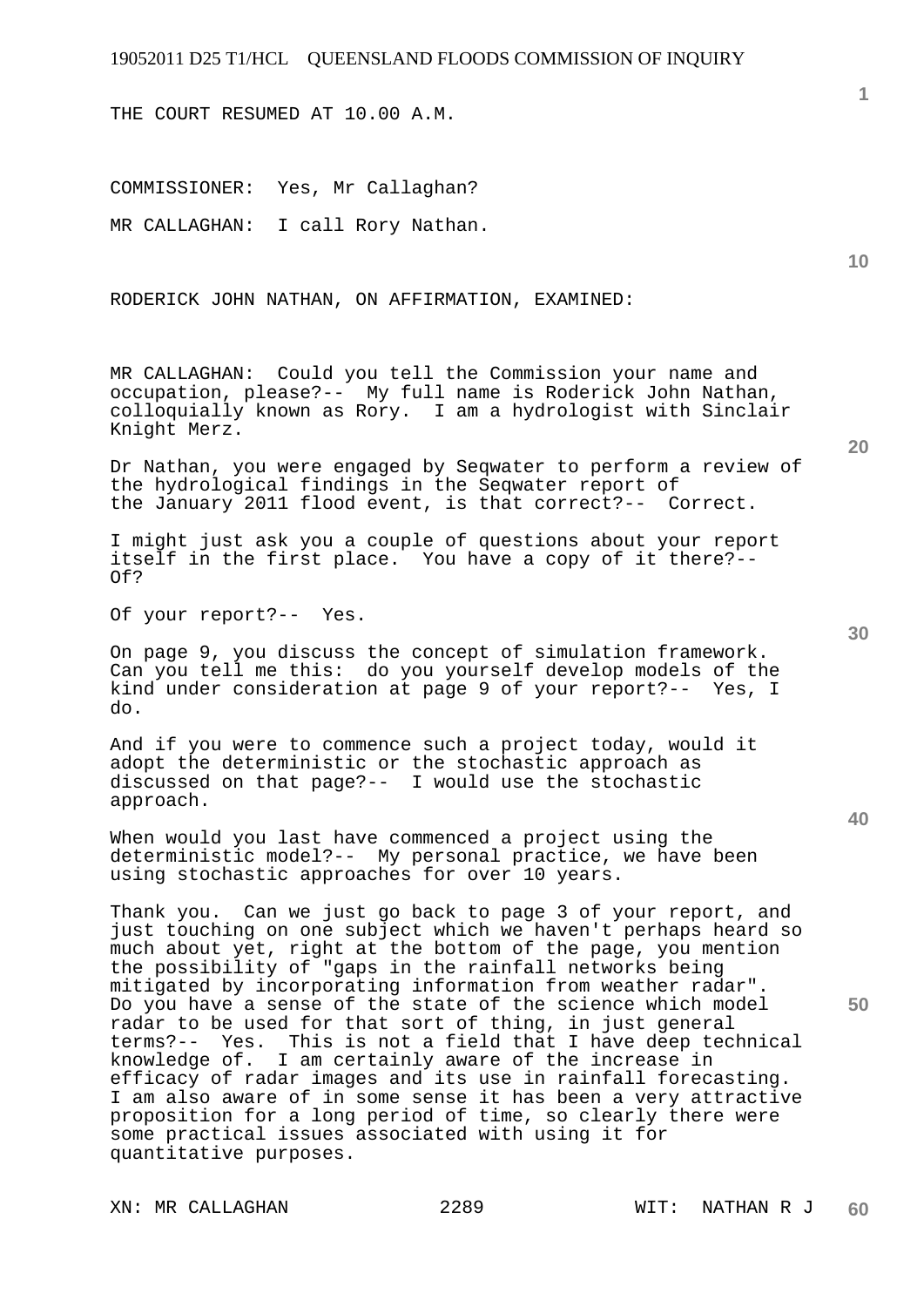THE COURT RESUMED AT 10.00 A.M.

COMMISSIONER: Yes, Mr Callaghan? MR CALLAGHAN: I call Rory Nathan.

RODERICK JOHN NATHAN, ON AFFIRMATION, EXAMINED:

MR CALLAGHAN: Could you tell the Commission your name and occupation, please?-- My full name is Roderick John Nathan, colloquially known as Rory. I am a hydrologist with Sinclair Knight Merz.

Dr Nathan, you were engaged by Seqwater to perform a review of the hydrological findings in the Seqwater report of the January 2011 flood event, is that correct?-- Correct.

I might just ask you a couple of questions about your report itself in the first place. You have a copy of it there?-- Of?

Of your report?-- Yes.

On page 9, you discuss the concept of simulation framework. Can you tell me this: do you yourself develop models of the kind under consideration at page 9 of your report?-- Yes, I do.

And if you were to commence such a project today, would it adopt the deterministic or the stochastic approach as discussed on that page?-- I would use the stochastic approach.

When would you last have commenced a project using the deterministic model?-- My personal practice, we have been using stochastic approaches for over 10 years.

Thank you. Can we just go back to page 3 of your report, and just touching on one subject which we haven't perhaps heard so much about yet, right at the bottom of the page, you mention the possibility of "gaps in the rainfall networks being mitigated by incorporating information from weather radar". Do you have a sense of the state of the science which model radar to be used for that sort of thing, in just general terms?-- Yes. This is not a field that I have deep technical knowledge of. I am certainly aware of the increase in efficacy of radar images and its use in rainfall forecasting. I am also aware of in some sense it has been a very attractive proposition for a long period of time, so clearly there were some practical issues associated with using it for quantitative purposes.

**10** 

**1**

**40**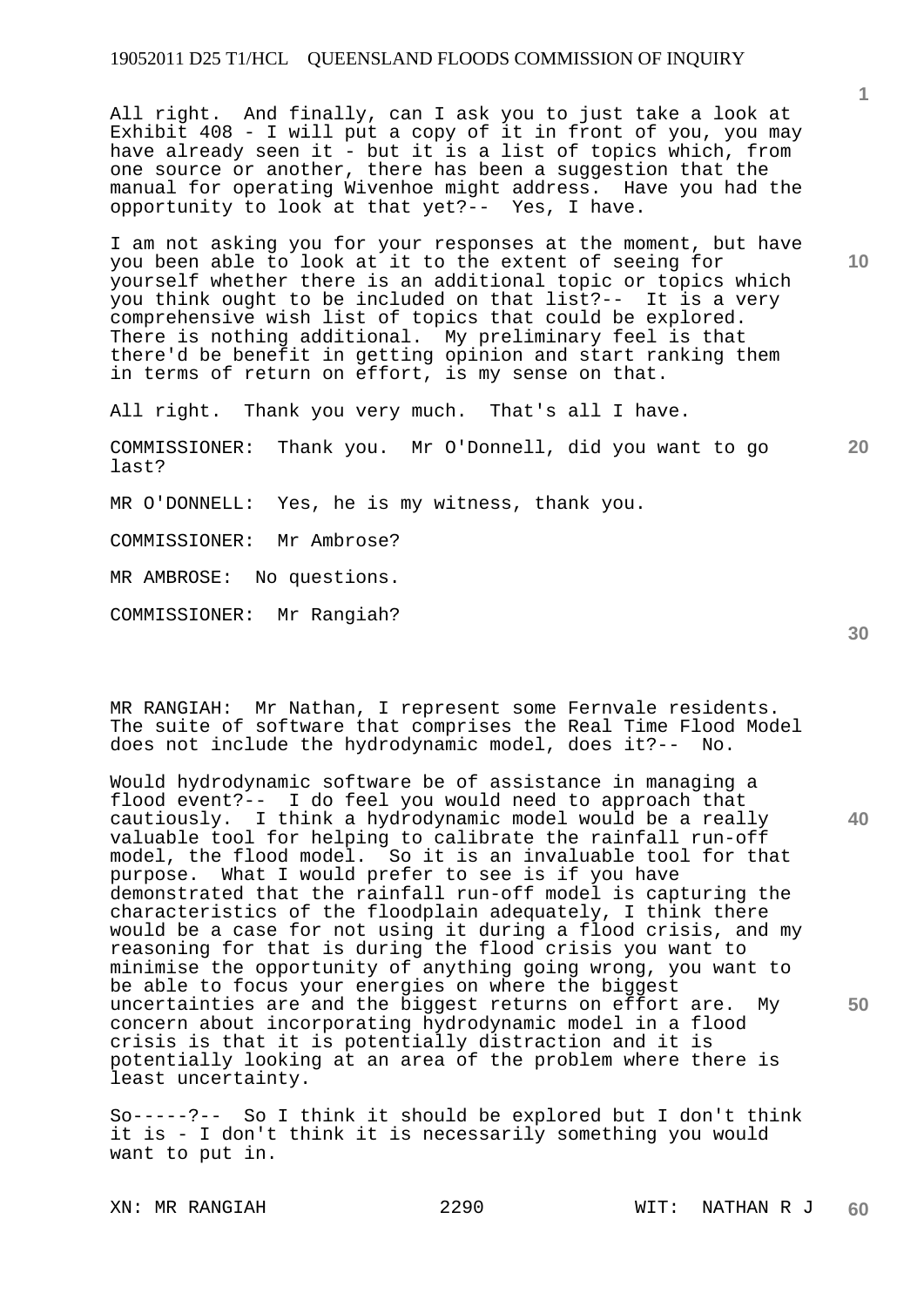All right. And finally, can I ask you to just take a look at Exhibit 408 - I will put a copy of it in front of you, you may have already seen it - but it is a list of topics which, from one source or another, there has been a suggestion that the manual for operating Wivenhoe might address. Have you had the opportunity to look at that yet?-- Yes, I have.

I am not asking you for your responses at the moment, but have you been able to look at it to the extent of seeing for yourself whether there is an additional topic or topics which you think ought to be included on that list?-- It is a very comprehensive wish list of topics that could be explored. There is nothing additional. My preliminary feel is that there'd be benefit in getting opinion and start ranking them in terms of return on effort, is my sense on that.

All right. Thank you very much. That's all I have.

**20**  COMMISSIONER: Thank you. Mr O'Donnell, did you want to go last?

MR O'DONNELL: Yes, he is my witness, thank you.

COMMISSIONER: Mr Ambrose?

MR AMBROSE: No questions.

COMMISSIONER: Mr Rangiah?

MR RANGIAH: Mr Nathan, I represent some Fernvale residents. The suite of software that comprises the Real Time Flood Model does not include the hydrodynamic model, does it?-- No.

Would hydrodynamic software be of assistance in managing a flood event?-- I do feel you would need to approach that cautiously. I think a hydrodynamic model would be a really valuable tool for helping to calibrate the rainfall run-off model, the flood model. So it is an invaluable tool for that purpose. What I would prefer to see is if you have demonstrated that the rainfall run-off model is capturing the characteristics of the floodplain adequately, I think there would be a case for not using it during a flood crisis, and my reasoning for that is during the flood crisis you want to minimise the opportunity of anything going wrong, you want to be able to focus your energies on where the biggest uncertainties are and the biggest returns on effort are. My concern about incorporating hydrodynamic model in a flood crisis is that it is potentially distraction and it is potentially looking at an area of the problem where there is least uncertainty.

So-----?-- So I think it should be explored but I don't think it is - I don't think it is necessarily something you would want to put in.

**30** 

**40** 

**50** 

**10**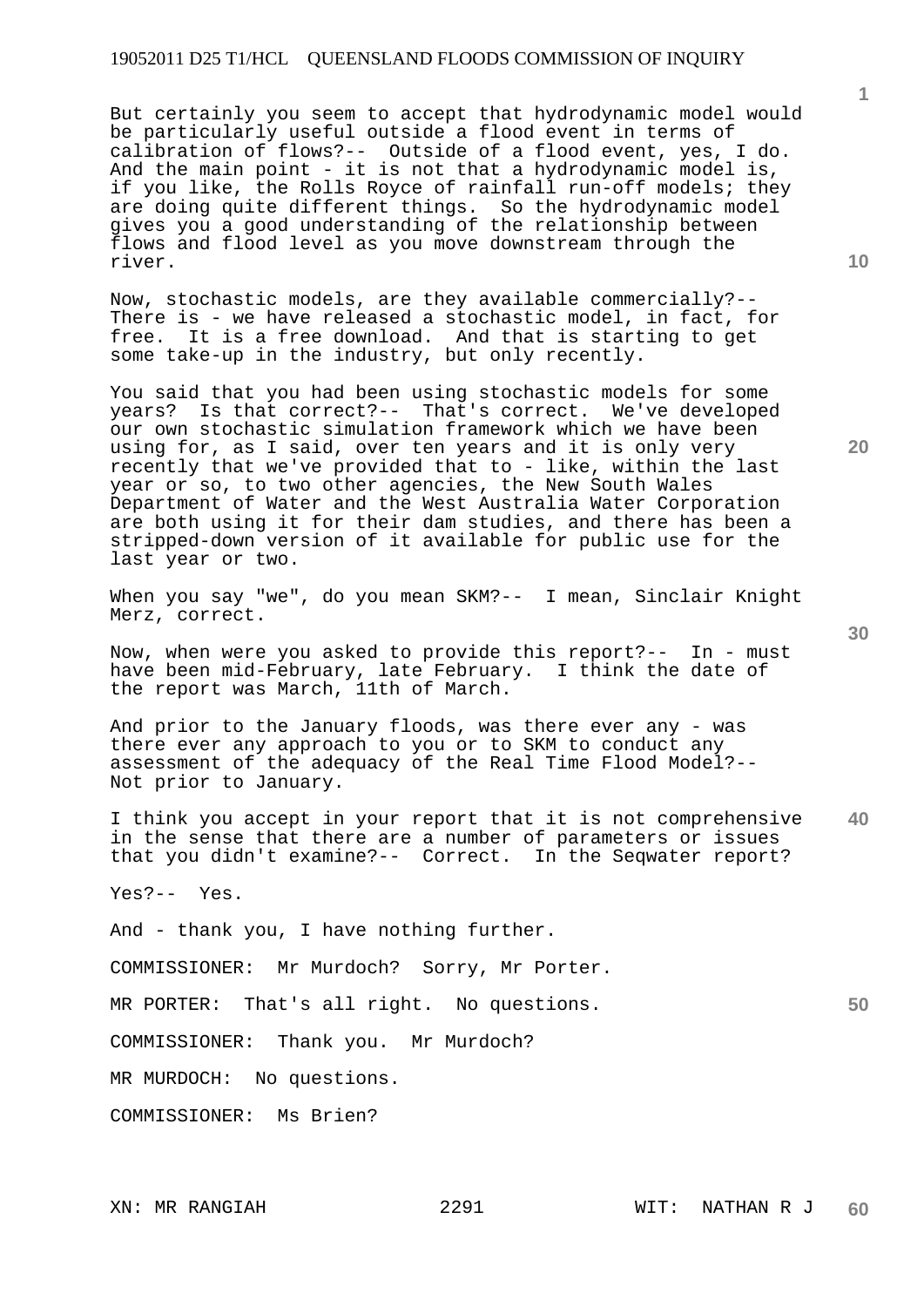But certainly you seem to accept that hydrodynamic model would be particularly useful outside a flood event in terms of calibration of flows?-- Outside of a flood event, yes, I do. And the main point - it is not that a hydrodynamic model is, if you like, the Rolls Royce of rainfall run-off models; they are doing quite different things. So the hydrodynamic model gives you a good understanding of the relationship between flows and flood level as you move downstream through the river.

Now, stochastic models, are they available commercially?-- There is - we have released a stochastic model, in fact, for free. It is a free download. And that is starting to get some take-up in the industry, but only recently.

You said that you had been using stochastic models for some years? Is that correct?-- That's correct. We've developed our own stochastic simulation framework which we have been using for, as I said, over ten years and it is only very recently that we've provided that to - like, within the last year or so, to two other agencies, the New South Wales Department of Water and the West Australia Water Corporation are both using it for their dam studies, and there has been a stripped-down version of it available for public use for the last year or two.

When you say "we", do you mean SKM?-- I mean, Sinclair Knight Merz, correct.

Now, when were you asked to provide this report?-- In - must have been mid-February, late February. I think the date of the report was March, 11th of March.

And prior to the January floods, was there ever any - was there ever any approach to you or to SKM to conduct any assessment of the adequacy of the Real Time Flood Model?-- Not prior to January.

**40**  I think you accept in your report that it is not comprehensive in the sense that there are a number of parameters or issues that you didn't examine?-- Correct. In the Seqwater report?

Yes?-- Yes.

And - thank you, I have nothing further.

COMMISSIONER: Mr Murdoch? Sorry, Mr Porter.

MR PORTER: That's all right. No questions.

COMMISSIONER: Thank you. Mr Murdoch?

MR MURDOCH: No questions.

COMMISSIONER: Ms Brien?

**20** 

**1**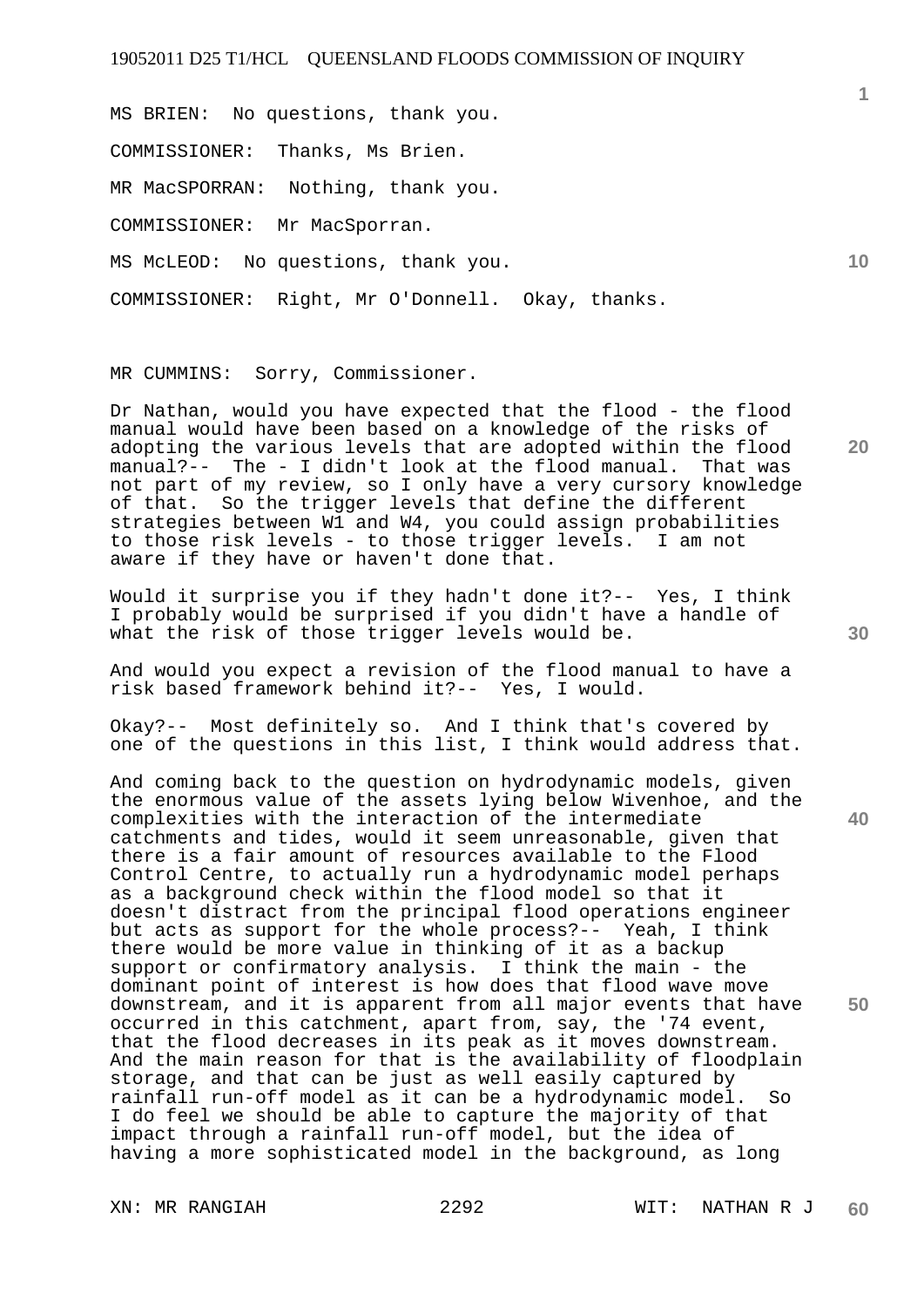MS BRIEN: No questions, thank you.

COMMISSIONER: Thanks, Ms Brien.

MR MacSPORRAN: Nothing, thank you.

COMMISSIONER: Mr MacSporran.

MS McLEOD: No questions, thank you.

COMMISSIONER: Right, Mr O'Donnell. Okay, thanks.

MR CUMMINS: Sorry, Commissioner.

Dr Nathan, would you have expected that the flood - the flood manual would have been based on a knowledge of the risks of adopting the various levels that are adopted within the flood manual?-- The - I didn't look at the flood manual. That was manual?-- The - I didn't look at the flood manual. not part of my review, so I only have a very cursory knowledge of that. So the trigger levels that define the different strategies between W1 and W4, you could assign probabilities to those risk levels - to those trigger levels. I am not aware if they have or haven't done that.

Would it surprise you if they hadn't done it?-- Yes, I think I probably would be surprised if you didn't have a handle of what the risk of those trigger levels would be.

And would you expect a revision of the flood manual to have a risk based framework behind it?-- Yes, I would.

Okay?-- Most definitely so. And I think that's covered by one of the questions in this list, I think would address that.

And coming back to the question on hydrodynamic models, given the enormous value of the assets lying below Wivenhoe, and the complexities with the interaction of the intermediate catchments and tides, would it seem unreasonable, given that there is a fair amount of resources available to the Flood Control Centre, to actually run a hydrodynamic model perhaps as a background check within the flood model so that it doesn't distract from the principal flood operations engineer but acts as support for the whole process?-- Yeah, I think there would be more value in thinking of it as a backup support or confirmatory analysis. I think the main - the dominant point of interest is how does that flood wave move downstream, and it is apparent from all major events that have occurred in this catchment, apart from, say, the '74 event, that the flood decreases in its peak as it moves downstream. And the main reason for that is the availability of floodplain storage, and that can be just as well easily captured by rainfall run-off model as it can be a hydrodynamic model. So I do feel we should be able to capture the majority of that impact through a rainfall run-off model, but the idea of having a more sophisticated model in the background, as long

**20** 

**10** 

**1**

**40**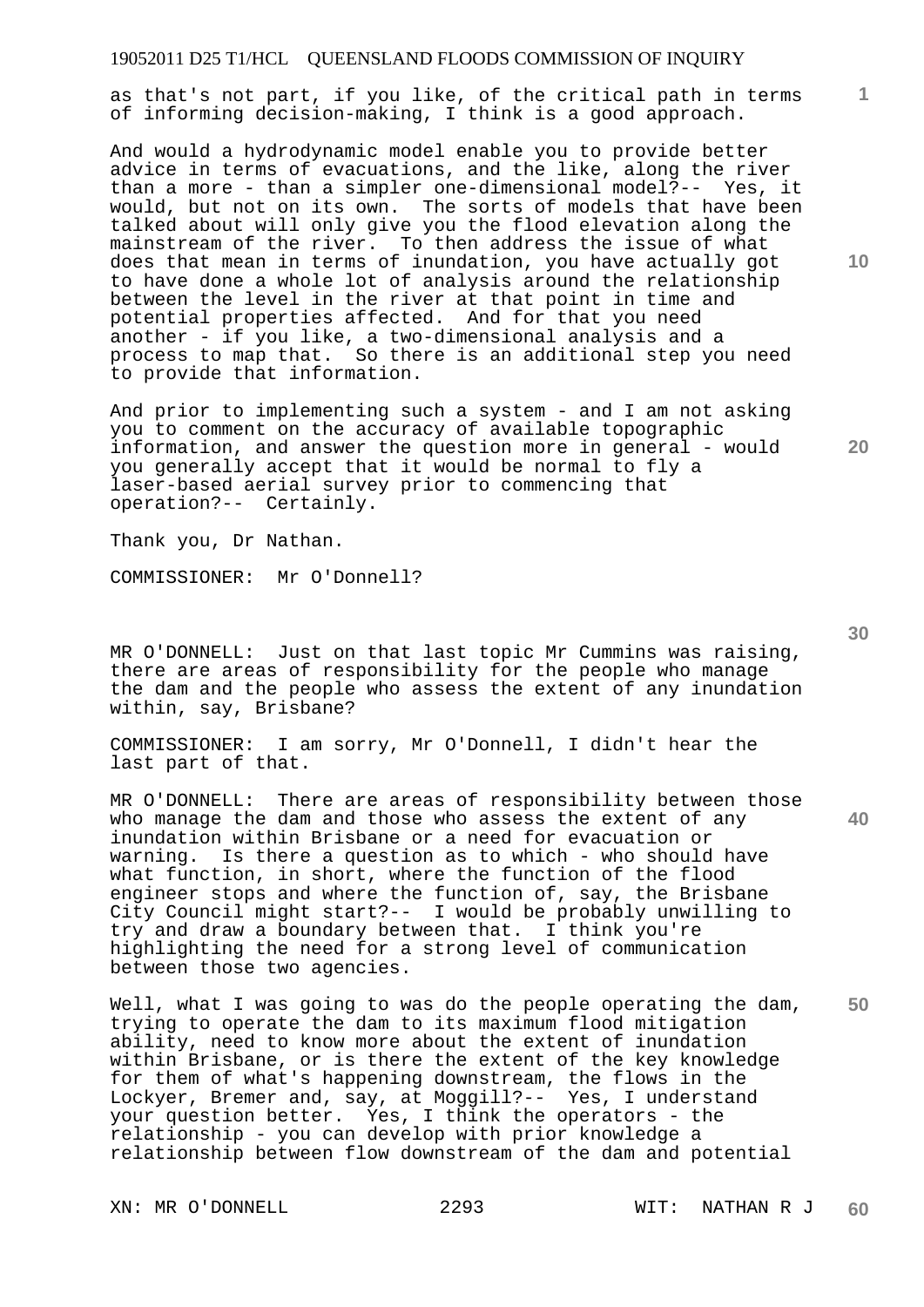as that's not part, if you like, of the critical path in terms of informing decision-making, I think is a good approach.

And would a hydrodynamic model enable you to provide better advice in terms of evacuations, and the like, along the river than a more - than a simpler one-dimensional model?-- Yes, it would, but not on its own. The sorts of models that have been talked about will only give you the flood elevation along the mainstream of the river. To then address the issue of what does that mean in terms of inundation, you have actually got to have done a whole lot of analysis around the relationship between the level in the river at that point in time and potential properties affected. And for that you need another - if you like, a two-dimensional analysis and a process to map that. So there is an additional step you need to provide that information.

And prior to implementing such a system - and I am not asking you to comment on the accuracy of available topographic information, and answer the question more in general - would you generally accept that it would be normal to fly a laser-based aerial survey prior to commencing that operation?-- Certainly.

Thank you, Dr Nathan.

COMMISSIONER: Mr O'Donnell?

MR O'DONNELL: Just on that last topic Mr Cummins was raising, there are areas of responsibility for the people who manage the dam and the people who assess the extent of any inundation within, say, Brisbane?

COMMISSIONER: I am sorry, Mr O'Donnell, I didn't hear the last part of that.

MR O'DONNELL: There are areas of responsibility between those who manage the dam and those who assess the extent of any inundation within Brisbane or a need for evacuation or warning. Is there a question as to which - who should have what function, in short, where the function of the flood engineer stops and where the function of, say, the Brisbane City Council might start?-- I would be probably unwilling to try and draw a boundary between that. I think you're highlighting the need for a strong level of communication between those two agencies.

**50**  Well, what I was going to was do the people operating the dam, trying to operate the dam to its maximum flood mitigation ability, need to know more about the extent of inundation within Brisbane, or is there the extent of the key knowledge for them of what's happening downstream, the flows in the Lockyer, Bremer and, say, at Moggill?-- Yes, I understand your question better. Yes, I think the operators - the relationship - you can develop with prior knowledge a relationship between flow downstream of the dam and potential

**10** 

**1**

**30** 

**40**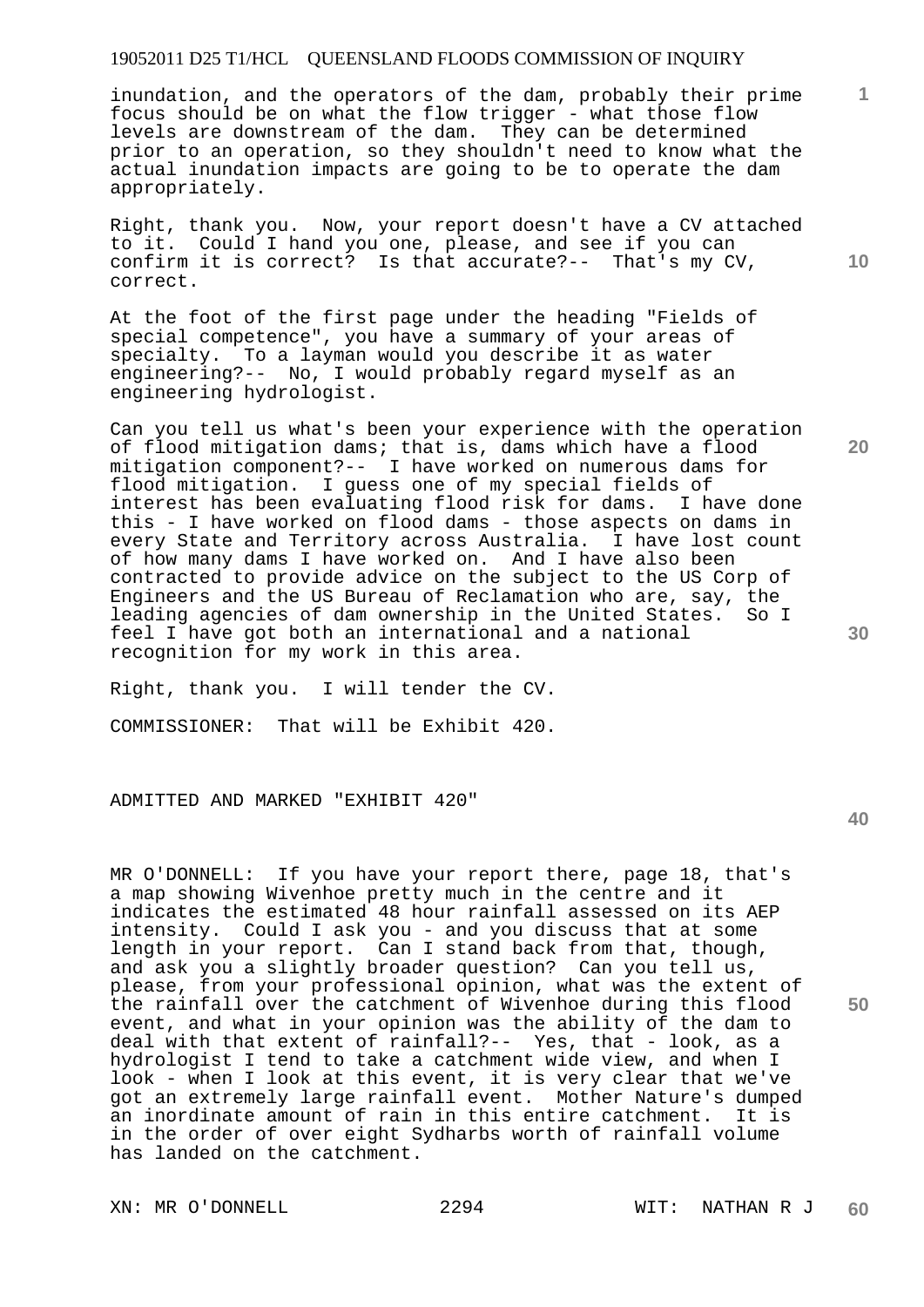inundation, and the operators of the dam, probably their prime focus should be on what the flow trigger - what those flow levels are downstream of the dam. They can be determined prior to an operation, so they shouldn't need to know what the actual inundation impacts are going to be to operate the dam appropriately.

Right, thank you. Now, your report doesn't have a CV attached to it. Could I hand you one, please, and see if you can confirm it is correct? Is that accurate?-- That's my CV, correct.

At the foot of the first page under the heading "Fields of special competence", you have a summary of your areas of specialty. To a layman would you describe it as water engineering?-- No, I would probably regard myself as an engineering hydrologist.

Can you tell us what's been your experience with the operation of flood mitigation dams; that is, dams which have a flood mitigation component?-- I have worked on numerous dams for flood mitigation. I guess one of my special fields of interest has been evaluating flood risk for dams. I have done this - I have worked on flood dams - those aspects on dams in every State and Territory across Australia. I have lost count of how many dams I have worked on. And I have also been contracted to provide advice on the subject to the US Corp of Engineers and the US Bureau of Reclamation who are, say, the leading agencies of dam ownership in the United States. So I feel I have got both an international and a national recognition for my work in this area.

Right, thank you. I will tender the CV. COMMISSIONER: That will be Exhibit 420.

ADMITTED AND MARKED "EXHIBIT 420"

MR O'DONNELL: If you have your report there, page 18, that's a map showing Wivenhoe pretty much in the centre and it indicates the estimated 48 hour rainfall assessed on its AEP intensity. Could I ask you - and you discuss that at some length in your report. Can I stand back from that, though, and ask you a slightly broader question? Can you tell us, please, from your professional opinion, what was the extent of the rainfall over the catchment of Wivenhoe during this flood event, and what in your opinion was the ability of the dam to deal with that extent of rainfall?-- Yes, that - look, as a hydrologist I tend to take a catchment wide view, and when I look - when I look at this event, it is very clear that we've got an extremely large rainfall event. Mother Nature's dumped an inordinate amount of rain in this entire catchment. It is in the order of over eight Sydharbs worth of rainfall volume has landed on the catchment.

XN: MR O'DONNELL 2294 WIT: NATHAN R J

**40** 

**50** 

**30** 

**10** 

**1**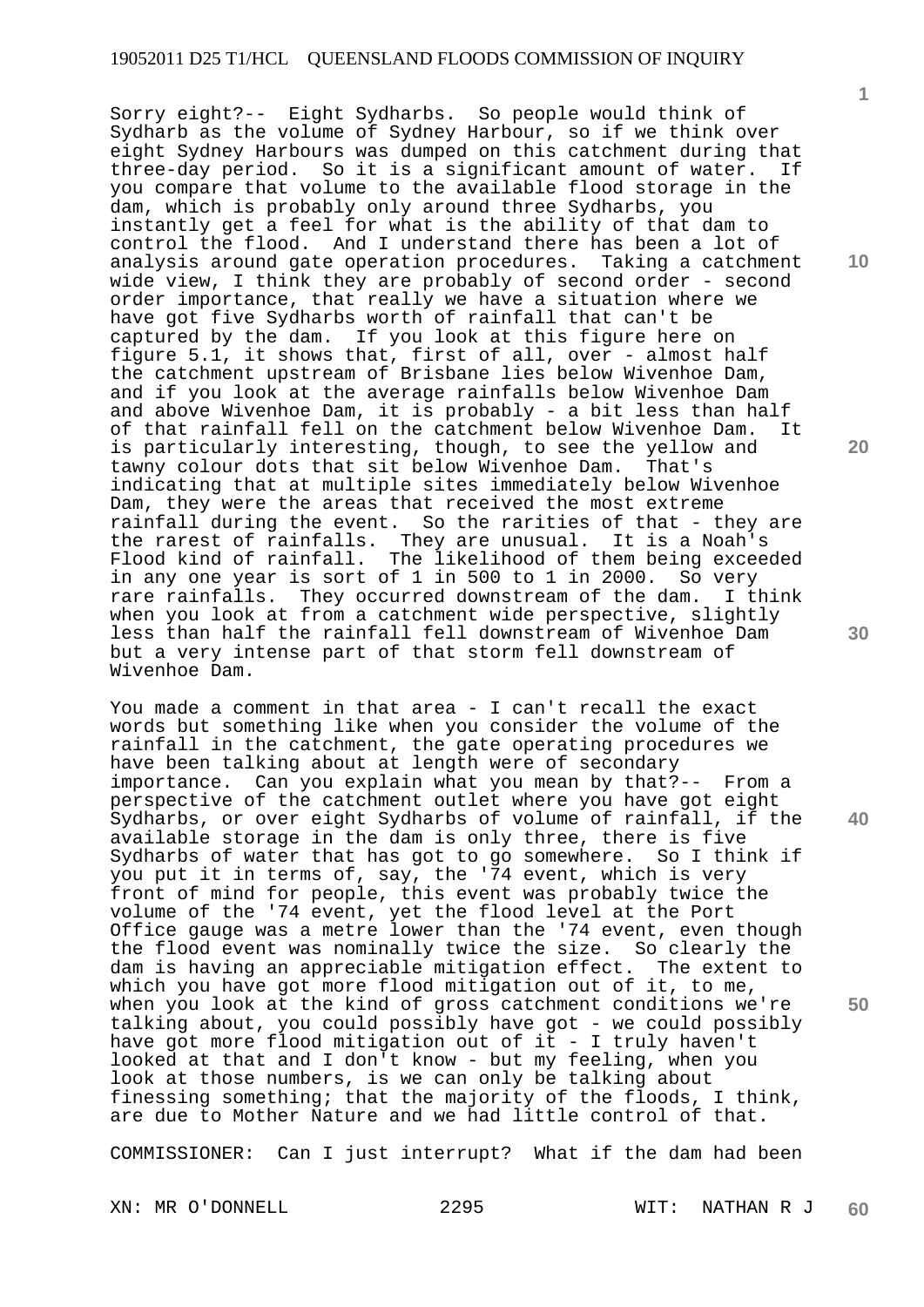Sorry eight?-- Eight Sydharbs. So people would think of Sydharb as the volume of Sydney Harbour, so if we think over eight Sydney Harbours was dumped on this catchment during that three-day period. So it is a significant amount of water. If you compare that volume to the available flood storage in the dam, which is probably only around three Sydharbs, you instantly get a feel for what is the ability of that dam to control the flood. And I understand there has been a lot of analysis around gate operation procedures. Taking a catchment wide view, I think they are probably of second order - second order importance, that really we have a situation where we have got five Sydharbs worth of rainfall that can't be captured by the dam. If you look at this figure here If you look at this figure here on figure 5.1, it shows that, first of all, over - almost half the catchment upstream of Brisbane lies below Wivenhoe Dam, and if you look at the average rainfalls below Wivenhoe Dam and above Wivenhoe Dam, it is probably - a bit less than half of that rainfall fell on the catchment below Wivenhoe Dam. It is particularly interesting, though, to see the yellow and<br>tawny colour dots that sit below Wivenhoe Dam. That's tawny colour dots that sit below Wivenhoe Dam. indicating that at multiple sites immediately below Wivenhoe Dam, they were the areas that received the most extreme rainfall during the event. So the rarities of that - they are the rarest of rainfalls. They are unusual. It is a Noah's Flood kind of rainfall. The likelihood of them being exceeded in any one year is sort of 1 in 500 to 1 in 2000. So very rare rainfalls. They occurred downstream of the dam. I think when you look at from a catchment wide perspective, slightly less than half the rainfall fell downstream of Wivenhoe Dam but a very intense part of that storm fell downstream of Wivenhoe Dam.

You made a comment in that area - I can't recall the exact words but something like when you consider the volume of the rainfall in the catchment, the gate operating procedures we have been talking about at length were of secondary importance. Can you explain what you mean by that?-- From a perspective of the catchment outlet where you have got eight Sydharbs, or over eight Sydharbs of volume of rainfall, if the available storage in the dam is only three, there is five Sydharbs of water that has got to go somewhere. So I think if you put it in terms of, say, the '74 event, which is very front of mind for people, this event was probably twice the volume of the '74 event, yet the flood level at the Port Office gauge was a metre lower than the '74 event, even though the flood event was nominally twice the size. So clearly the dam is having an appreciable mitigation effect. The extent to which you have got more flood mitigation out of it, to me, when you look at the kind of gross catchment conditions we're talking about, you could possibly have got - we could possibly have got more flood mitigation out of it - I truly haven't looked at that and I don't know - but my feeling, when you look at those numbers, is we can only be talking about finessing something; that the majority of the floods, I think, are due to Mother Nature and we had little control of that.

COMMISSIONER: Can I just interrupt? What if the dam had been

XN: MR O'DONNELL 2295 WIT: NATHAN R J **60** 

**1**

**10** 

**20** 

**30** 

**40**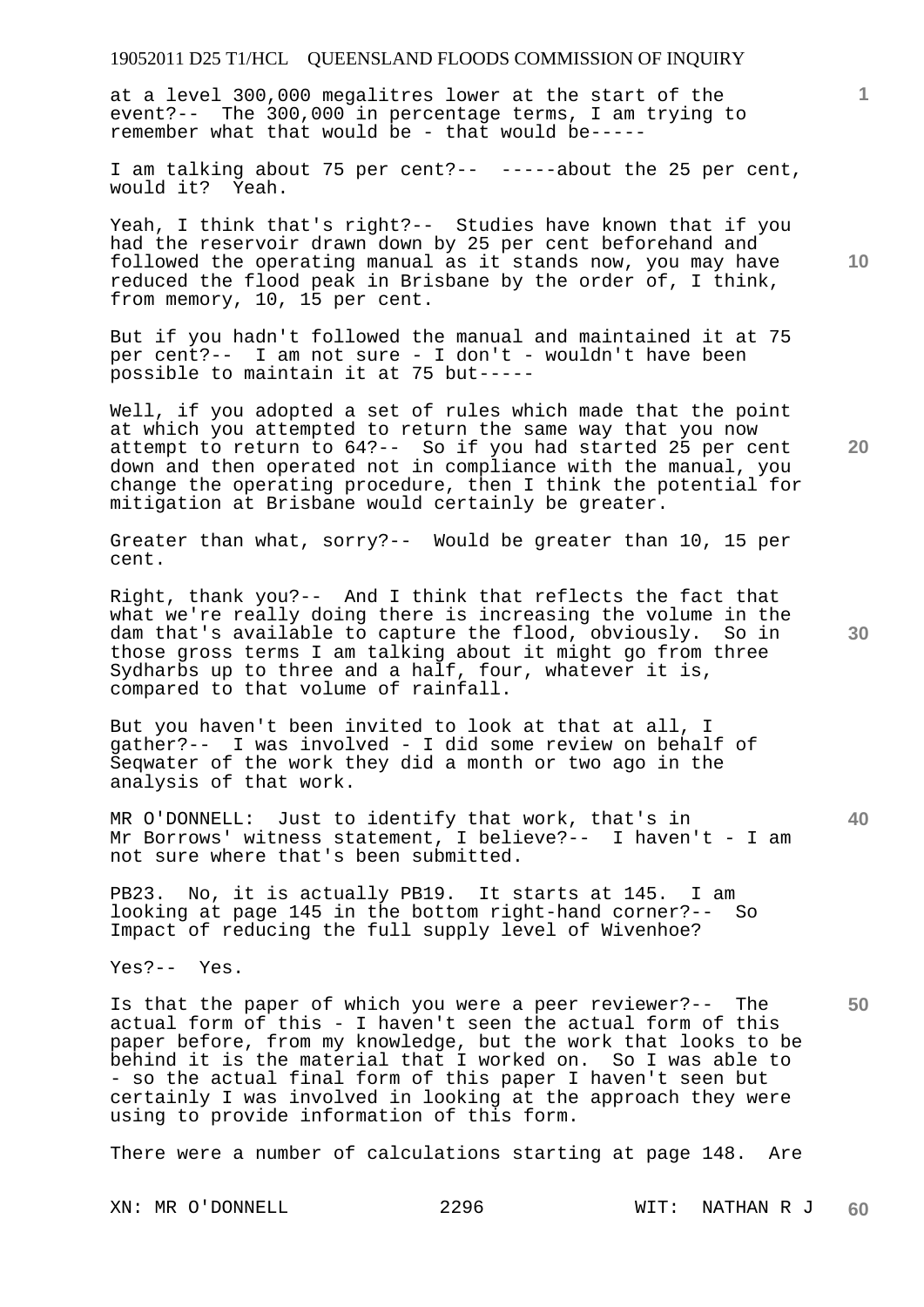at a level 300,000 megalitres lower at the start of the event?-- The 300,000 in percentage terms, I am trying to remember what that would be - that would be-----

I am talking about 75 per cent?-- -----about the 25 per cent, would it? Yeah.

Yeah, I think that's right?-- Studies have known that if you had the reservoir drawn down by 25 per cent beforehand and followed the operating manual as it stands now, you may have reduced the flood peak in Brisbane by the order of, I think, from memory, 10, 15 per cent.

But if you hadn't followed the manual and maintained it at 75 per cent?-- I am not sure - I don't - wouldn't have been possible to maintain it at 75 but-----

Well, if you adopted a set of rules which made that the point at which you attempted to return the same way that you now attempt to return to 64?-- So if you had started 25 per cent down and then operated not in compliance with the manual, you change the operating procedure, then I think the potential for mitigation at Brisbane would certainly be greater.

Greater than what, sorry?-- Would be greater than 10, 15 per cent.

Right, thank you?-- And I think that reflects the fact that what we're really doing there is increasing the volume in the dam that's available to capture the flood, obviously. So in those gross terms I am talking about it might go from three Sydharbs up to three and a half, four, whatever it is, compared to that volume of rainfall.

But you haven't been invited to look at that at all, I gather?-- I was involved - I did some review on behalf of Seqwater of the work they did a month or two ago in the analysis of that work.

MR O'DONNELL: Just to identify that work, that's in Mr Borrows' witness statement, I believe?-- I haven't - I am not sure where that's been submitted.

PB23. No, it is actually PB19. It starts at 145. I am looking at page 145 in the bottom right-hand corner?-- So Impact of reducing the full supply level of Wivenhoe?

Yes?-- Yes.

Is that the paper of which you were a peer reviewer?-- The actual form of this - I haven't seen the actual form of this paper before, from my knowledge, but the work that looks to be behind it is the material that I worked on. So I was able to - so the actual final form of this paper I haven't seen but certainly I was involved in looking at the approach they were using to provide information of this form.

There were a number of calculations starting at page 148. Are

**10** 

**1**

**20** 

**30**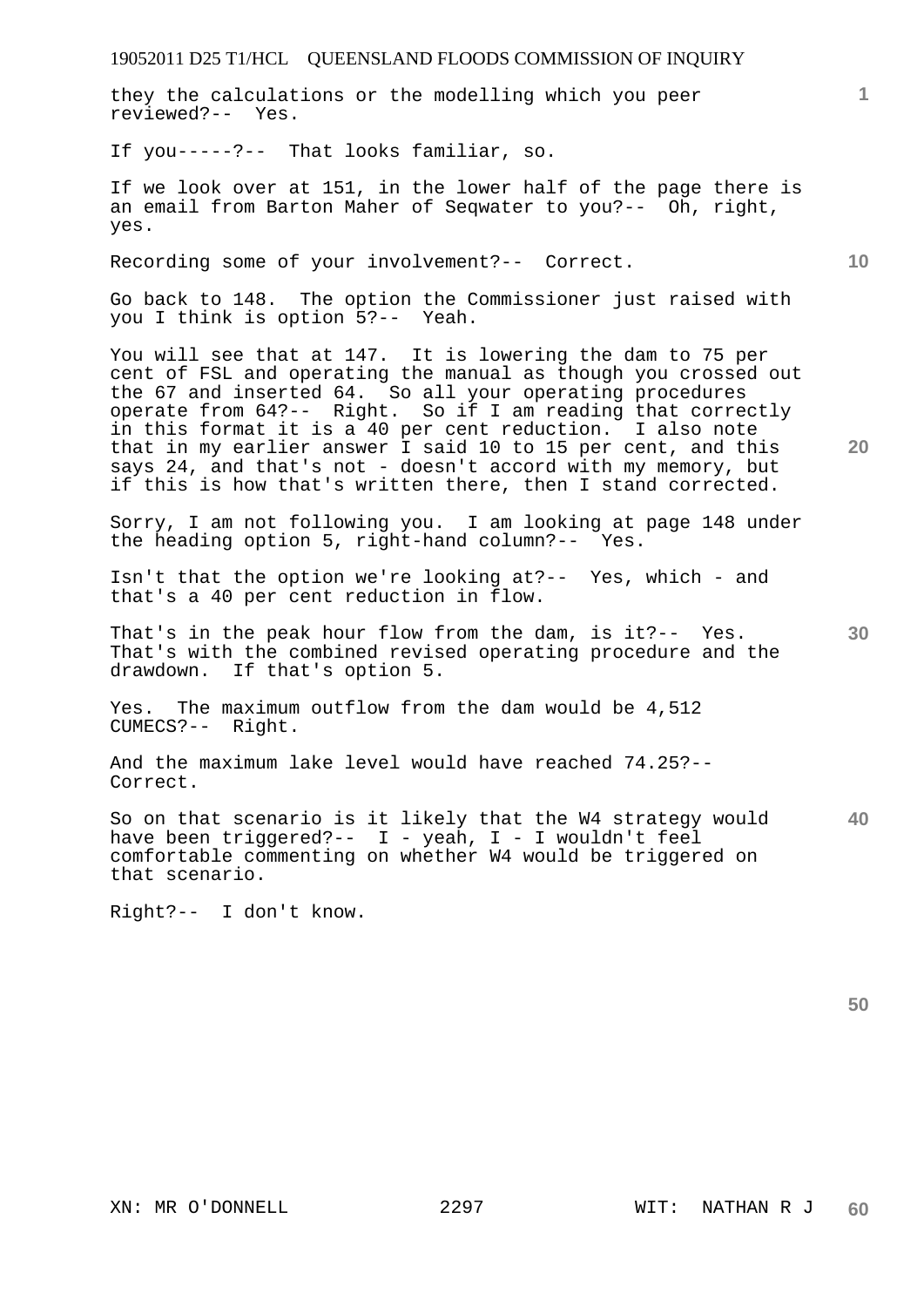they the calculations or the modelling which you peer reviewed?-- Yes.

If you-----?-- That looks familiar, so.

If we look over at 151, in the lower half of the page there is an email from Barton Maher of Seqwater to you?-- Oh, right, yes.

Recording some of your involvement?-- Correct.

Go back to 148. The option the Commissioner just raised with you I think is option 5?-- Yeah.

You will see that at 147. It is lowering the dam to 75 per cent of FSL and operating the manual as though you crossed out the 67 and inserted 64. So all your operating procedures operate from 64?-- Right. So if I am reading that correctly in this format it is a 40 per cent reduction. I also note that in my earlier answer I said 10 to 15 per cent, and this says 24, and that's not - doesn't accord with my memory, but if this is how that's written there, then I stand corrected.

Sorry, I am not following you. I am looking at page 148 under the heading option 5, right-hand column?-- Yes.

Isn't that the option we're looking at?-- Yes, which - and that's a 40 per cent reduction in flow.

That's in the peak hour flow from the dam, is it?-- Yes. That's with the combined revised operating procedure and the drawdown. If that's option 5.

Yes. The maximum outflow from the dam would be 4,512 CUMECS?-- Right.

And the maximum lake level would have reached 74.25?-- Correct.

**40**  So on that scenario is it likely that the W4 strategy would have been triggered?-- I - yeah, I - I wouldn't feel comfortable commenting on whether W4 would be triggered on that scenario.

Right?-- I don't know.

**50** 

**10** 

**1**

**30**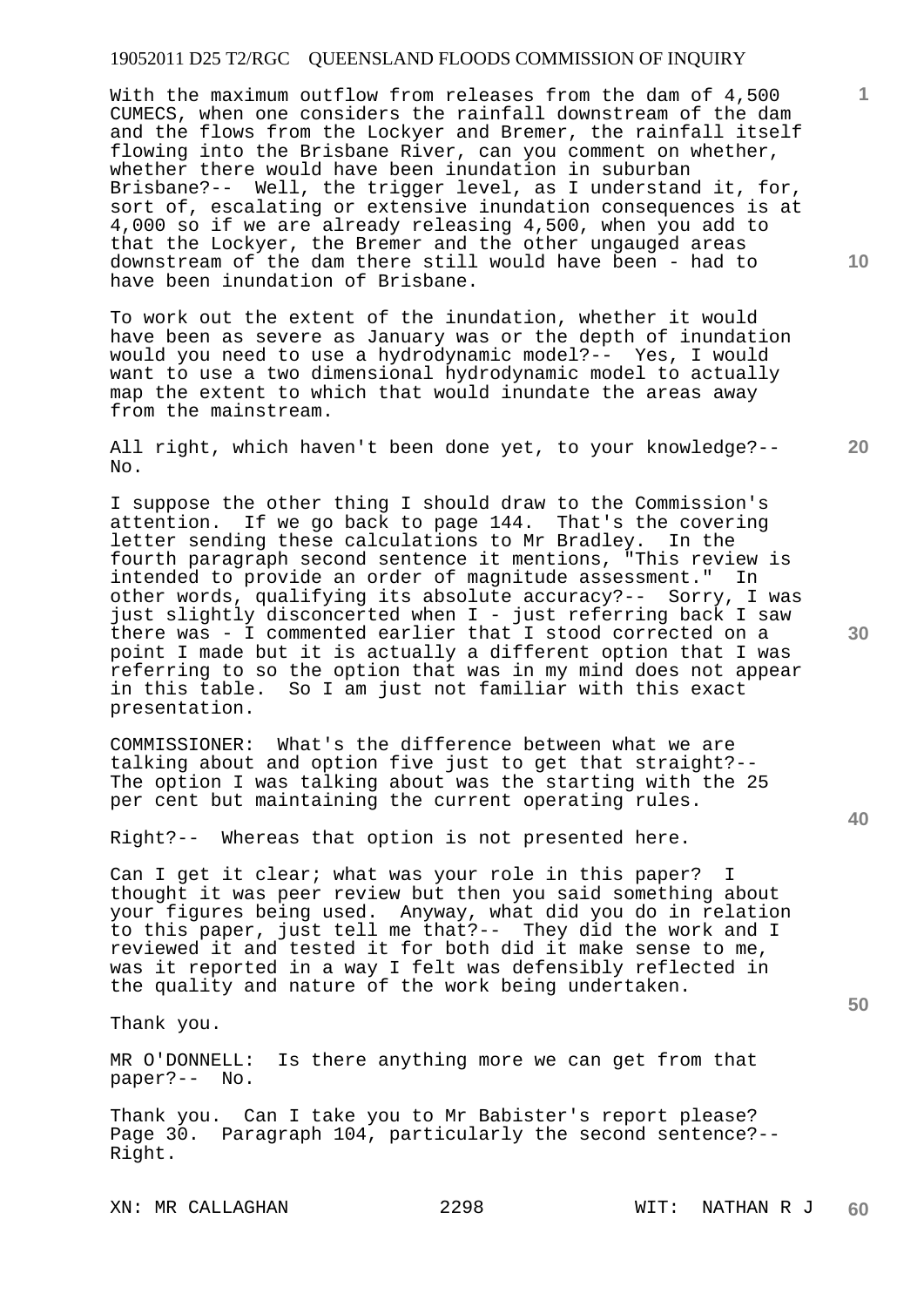With the maximum outflow from releases from the dam of 4,500 CUMECS, when one considers the rainfall downstream of the dam and the flows from the Lockyer and Bremer, the rainfall itself flowing into the Brisbane River, can you comment on whether, whether there would have been inundation in suburban Brisbane?-- Well, the trigger level, as I understand it, for, sort of, escalating or extensive inundation consequences is at 4,000 so if we are already releasing 4,500, when you add to that the Lockyer, the Bremer and the other ungauged areas downstream of the dam there still would have been - had to have been inundation of Brisbane.

To work out the extent of the inundation, whether it would have been as severe as January was or the depth of inundation would you need to use a hydrodynamic model?-- Yes, I would want to use a two dimensional hydrodynamic model to actually map the extent to which that would inundate the areas away from the mainstream.

All right, which haven't been done yet, to your knowledge?-- No.

I suppose the other thing I should draw to the Commission's attention. If we go back to page 144. That's the covering letter sending these calculations to Mr Bradley. In the fourth paragraph second sentence it mentions, "This review is intended to provide an order of magnitude assessment." In other words, qualifying its absolute accuracy?-- Sorry, I was just slightly disconcerted when I - just referring back I saw there was - I commented earlier that I stood corrected on a point I made but it is actually a different option that I was referring to so the option that was in my mind does not appear in this table. So I am just not familiar with this exact presentation.

COMMISSIONER: What's the difference between what we are talking about and option five just to get that straight?-- The option I was talking about was the starting with the 25 per cent but maintaining the current operating rules.

Right?-- Whereas that option is not presented here.

Can I get it clear; what was your role in this paper? thought it was peer review but then you said something about your figures being used. Anyway, what did you do in relation to this paper, just tell me that?-- They did the work and I reviewed it and tested it for both did it make sense to me, was it reported in a way I felt was defensibly reflected in the quality and nature of the work being undertaken.

Thank you.

MR O'DONNELL: Is there anything more we can get from that paper?-- No.

Thank you. Can I take you to Mr Babister's report please? Page 30. Paragraph 104, particularly the second sentence?-- Right.

XN: MR CALLAGHAN 2298 WIT: NATHAN R J

**30** 

**20** 

**40** 

**50** 

**10**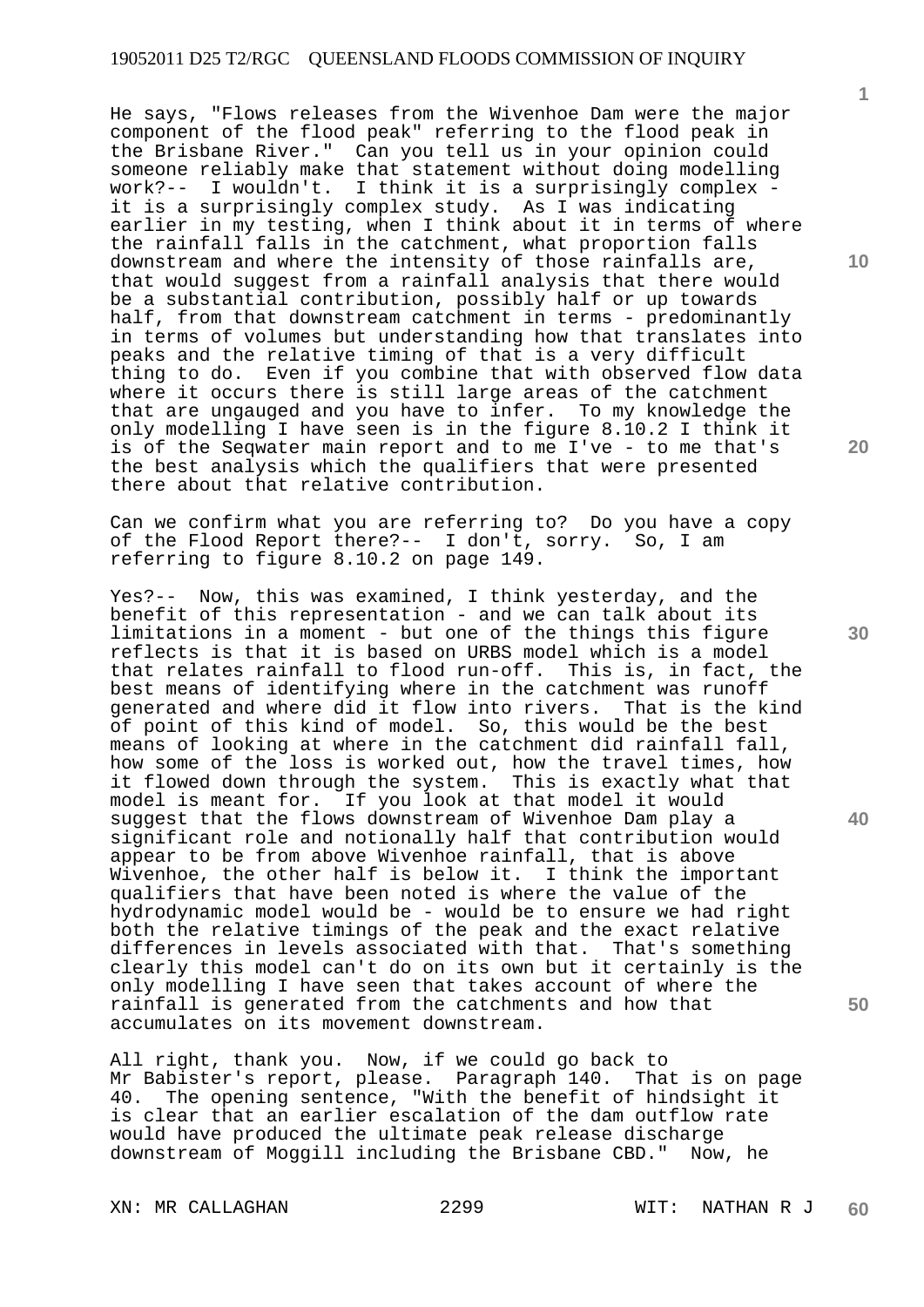He says, "Flows releases from the Wivenhoe Dam were the major component of the flood peak" referring to the flood peak in the Brisbane River." Can you tell us in your opinion could someone reliably make that statement without doing modelling<br>work?-- I wouldn't. I think it is a surprisingly complex -I wouldn't. I think it is a surprisingly complex it is a surprisingly complex study. As I was indicating earlier in my testing, when I think about it in terms of where the rainfall falls in the catchment, what proportion falls downstream and where the intensity of those rainfalls are, that would suggest from a rainfall analysis that there would be a substantial contribution, possibly half or up towards half, from that downstream catchment in terms - predominantly in terms of volumes but understanding how that translates into peaks and the relative timing of that is a very difficult thing to do. Even if you combine that with observed flow data where it occurs there is still large areas of the catchment that are ungauged and you have to infer. To my knowledge the only modelling I have seen is in the figure 8.10.2 I think it is of the Seqwater main report and to me I've - to me that's the best analysis which the qualifiers that were presented there about that relative contribution.

Can we confirm what you are referring to? Do you have a copy of the Flood Report there?-- I don't, sorry. So, I am referring to figure 8.10.2 on page 149.

Yes?-- Now, this was examined, I think yesterday, and the benefit of this representation - and we can talk about its limitations in a moment - but one of the things this figure reflects is that it is based on URBS model which is a model that relates rainfall to flood run-off. This is, in fact, the best means of identifying where in the catchment was runoff generated and where did it flow into rivers. That is the kind of point of this kind of model. So, this would be the best means of looking at where in the catchment did rainfall fall, how some of the loss is worked out, how the travel times, how it flowed down through the system. This is exactly what that model is meant for. If you look at that model it would suggest that the flows downstream of Wivenhoe Dam play a significant role and notionally half that contribution would appear to be from above Wivenhoe rainfall, that is above Wivenhoe, the other half is below it. I think the important qualifiers that have been noted is where the value of the hydrodynamic model would be - would be to ensure we had right both the relative timings of the peak and the exact relative differences in levels associated with that. That's something clearly this model can't do on its own but it certainly is the only modelling I have seen that takes account of where the rainfall is generated from the catchments and how that accumulates on its movement downstream.

All right, thank you. Now, if we could go back to Mr Babister's report, please. Paragraph 140. That is on page 40. The opening sentence, "With the benefit of hindsight it is clear that an earlier escalation of the dam outflow rate would have produced the ultimate peak release discharge downstream of Moggill including the Brisbane CBD." Now, he

XN: MR CALLAGHAN 2299 WIT: NATHAN R J

**10** 

**1**

**20** 

**30** 

**40**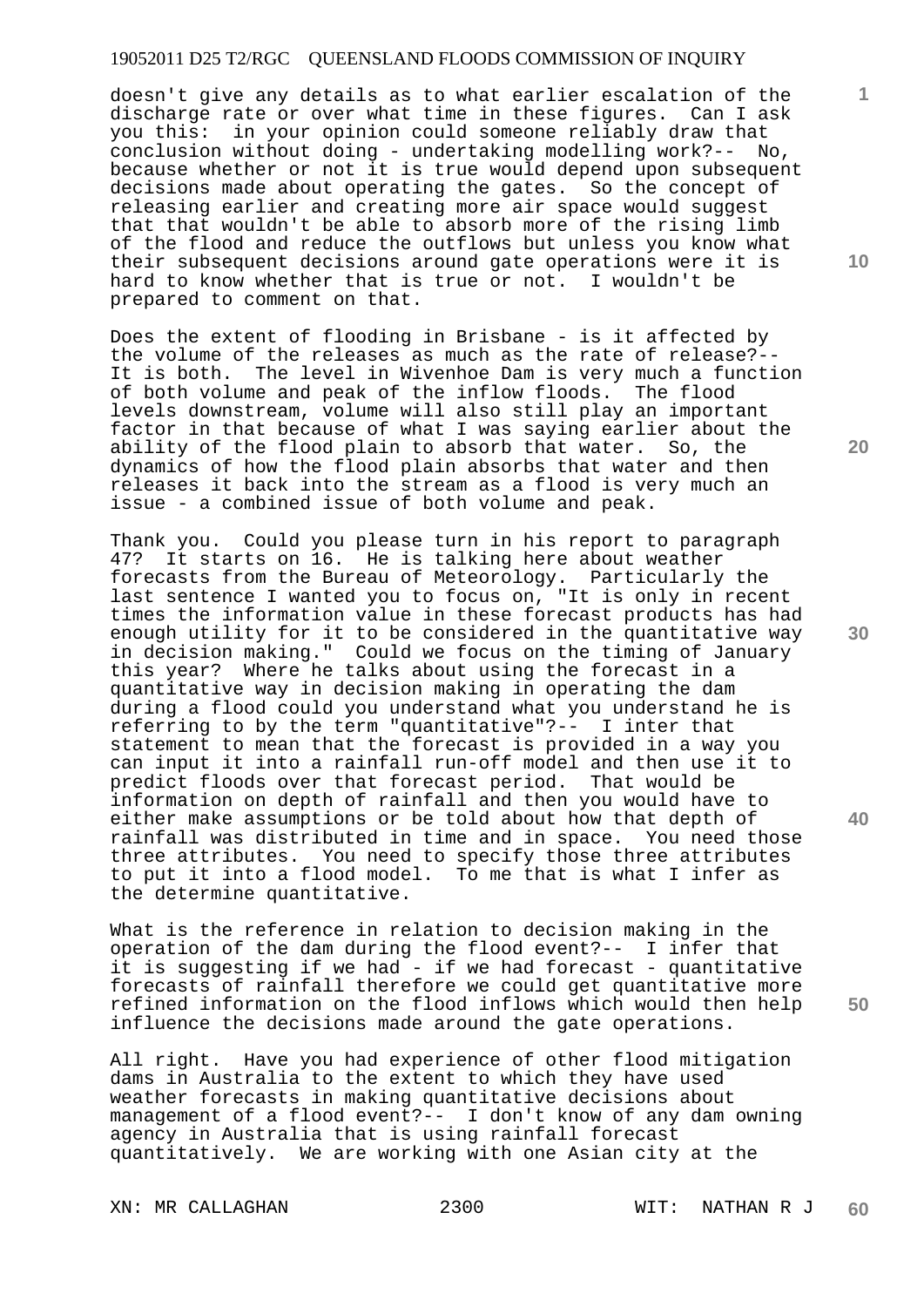doesn't give any details as to what earlier escalation of the discharge rate or over what time in these figures. Can I ask you this: in your opinion could someone reliably draw that conclusion without doing - undertaking modelling work?-- No, because whether or not it is true would depend upon subsequent decisions made about operating the gates. So the concept of releasing earlier and creating more air space would suggest that that wouldn't be able to absorb more of the rising limb of the flood and reduce the outflows but unless you know what their subsequent decisions around gate operations were it is hard to know whether that is true or not. I wouldn't be prepared to comment on that.

Does the extent of flooding in Brisbane - is it affected by the volume of the releases as much as the rate of release?-- It is both. The level in Wivenhoe Dam is very much a function of both volume and peak of the inflow floods. The flood levels downstream, volume will also still play an important factor in that because of what I was saying earlier about the ability of the flood plain to absorb that water. So, the dynamics of how the flood plain absorbs that water and then releases it back into the stream as a flood is very much an issue - a combined issue of both volume and peak.

Thank you. Could you please turn in his report to paragraph 47? It starts on 16. He is talking here about weather forecasts from the Bureau of Meteorology. Particularly the last sentence I wanted you to focus on, "It is only in recent times the information value in these forecast products has had enough utility for it to be considered in the quantitative way in decision making." Could we focus on the timing of January this year? Where he talks about using the forecast in a quantitative way in decision making in operating the dam during a flood could you understand what you understand he is referring to by the term "quantitative"?-- I inter that statement to mean that the forecast is provided in a way you can input it into a rainfall run-off model and then use it to predict floods over that forecast period. That would be information on depth of rainfall and then you would have to either make assumptions or be told about how that depth of rainfall was distributed in time and in space. You need those three attributes. You need to specify those three attributes to put it into a flood model. To me that is what I infer as the determine quantitative.

What is the reference in relation to decision making in the operation of the dam during the flood event?-- I infer that it is suggesting if we had - if we had forecast - quantitative forecasts of rainfall therefore we could get quantitative more refined information on the flood inflows which would then help influence the decisions made around the gate operations.

All right. Have you had experience of other flood mitigation dams in Australia to the extent to which they have used weather forecasts in making quantitative decisions about management of a flood event?-- I don't know of any dam owning agency in Australia that is using rainfall forecast quantitatively. We are working with one Asian city at the

**10** 

**1**

**30** 

**40**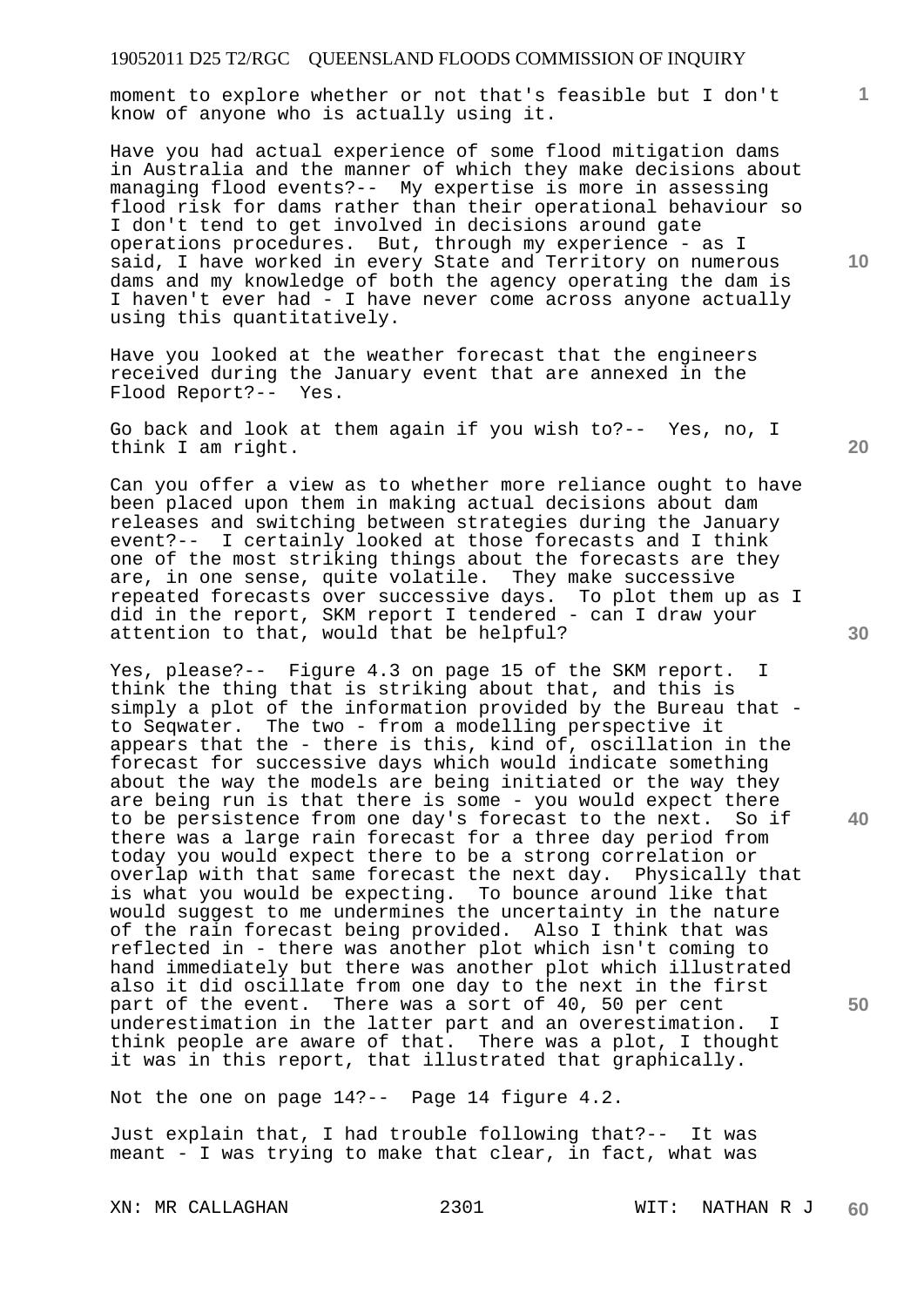moment to explore whether or not that's feasible but I don't know of anyone who is actually using it.

Have you had actual experience of some flood mitigation dams in Australia and the manner of which they make decisions about managing flood events?-- My expertise is more in assessing flood risk for dams rather than their operational behaviour so I don't tend to get involved in decisions around gate operations procedures. But, through my experience - as I said, I have worked in every State and Territory on numerous dams and my knowledge of both the agency operating the dam is I haven't ever had - I have never come across anyone actually using this quantitatively.

Have you looked at the weather forecast that the engineers received during the January event that are annexed in the Flood Report?-- Yes.

Go back and look at them again if you wish to?-- Yes, no, I think I am right.

Can you offer a view as to whether more reliance ought to have been placed upon them in making actual decisions about dam releases and switching between strategies during the January event?-- I certainly looked at those forecasts and I think one of the most striking things about the forecasts are they are, in one sense, quite volatile. They make successive repeated forecasts over successive days. To plot them up as I did in the report, SKM report I tendered - can I draw your attention to that, would that be helpful?

Yes, please?-- Figure 4.3 on page 15 of the SKM report. I think the thing that is striking about that, and this is simply a plot of the information provided by the Bureau that to Seqwater. The two - from a modelling perspective it appears that the - there is this, kind of, oscillation in the forecast for successive days which would indicate something about the way the models are being initiated or the way they are being run is that there is some - you would expect there to be persistence from one day's forecast to the next. So if there was a large rain forecast for a three day period from today you would expect there to be a strong correlation or overlap with that same forecast the next day. Physically that is what you would be expecting. To bounce around like that would suggest to me undermines the uncertainty in the nature of the rain forecast being provided. Also I think that was reflected in - there was another plot which isn't coming to hand immediately but there was another plot which illustrated also it did oscillate from one day to the next in the first part of the event. There was a sort of 40, 50 per cent underestimation in the latter part and an overestimation. I think people are aware of that. There was a plot, I thought it was in this report, that illustrated that graphically.

Not the one on page 14?-- Page 14 figure 4.2.

Just explain that, I had trouble following that?-- It was meant - I was trying to make that clear, in fact, what was

**30** 

**20** 

**50** 

**40** 

**10**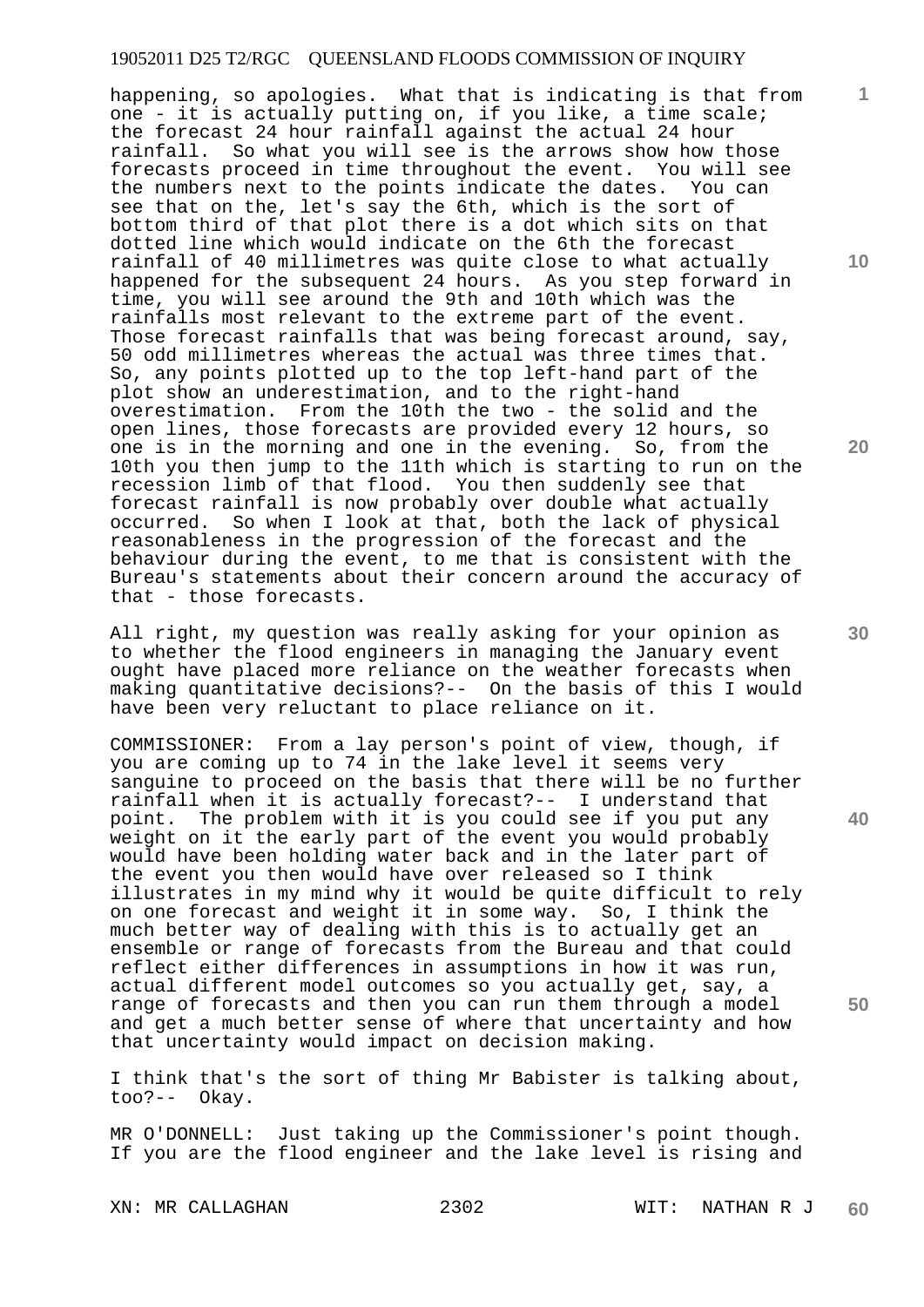happening, so apologies. What that is indicating is that from one - it is actually putting on, if you like, a time scale; the forecast 24 hour rainfall against the actual 24 hour rainfall. So what you will see is the arrows show how those forecasts proceed in time throughout the event. You will see the numbers next to the points indicate the dates. You can see that on the, let's say the 6th, which is the sort of bottom third of that plot there is a dot which sits on that dotted line which would indicate on the 6th the forecast rainfall of 40 millimetres was quite close to what actually happened for the subsequent 24 hours. As you step forward in time, you will see around the 9th and 10th which was the rainfalls most relevant to the extreme part of the event. Those forecast rainfalls that was being forecast around, say, 50 odd millimetres whereas the actual was three times that. So, any points plotted up to the top left-hand part of the plot show an underestimation, and to the right-hand overestimation. From the 10th the two - the solid and the open lines, those forecasts are provided every 12 hours, so one is in the morning and one in the evening. So, from the 10th you then jump to the 11th which is starting to run on the recession limb of that flood. You then suddenly see that forecast rainfall is now probably over double what actually occurred. So when I look at that, both the lack of physical reasonableness in the progression of the forecast and the behaviour during the event, to me that is consistent with the Bureau's statements about their concern around the accuracy of that - those forecasts.

All right, my question was really asking for your opinion as to whether the flood engineers in managing the January event ought have placed more reliance on the weather forecasts when making quantitative decisions?-- On the basis of this I would have been very reluctant to place reliance on it.

COMMISSIONER: From a lay person's point of view, though, if you are coming up to 74 in the lake level it seems very sanguine to proceed on the basis that there will be no further rainfall when it is actually forecast?-- I understand that point. The problem with it is you could see if you put any weight on it the early part of the event you would probably would have been holding water back and in the later part of the event you then would have over released so I think illustrates in my mind why it would be quite difficult to rely on one forecast and weight it in some way. So, I think the much better way of dealing with this is to actually get an ensemble or range of forecasts from the Bureau and that could reflect either differences in assumptions in how it was run, actual different model outcomes so you actually get, say, a range of forecasts and then you can run them through a model and get a much better sense of where that uncertainty and how that uncertainty would impact on decision making.

I think that's the sort of thing Mr Babister is talking about, too?-- Okay.

MR O'DONNELL: Just taking up the Commissioner's point though. If you are the flood engineer and the lake level is rising and

XN: MR CALLAGHAN 2302 WIT: NATHAN R J **60** 

**10** 

**1**

**20** 

**30** 

**40**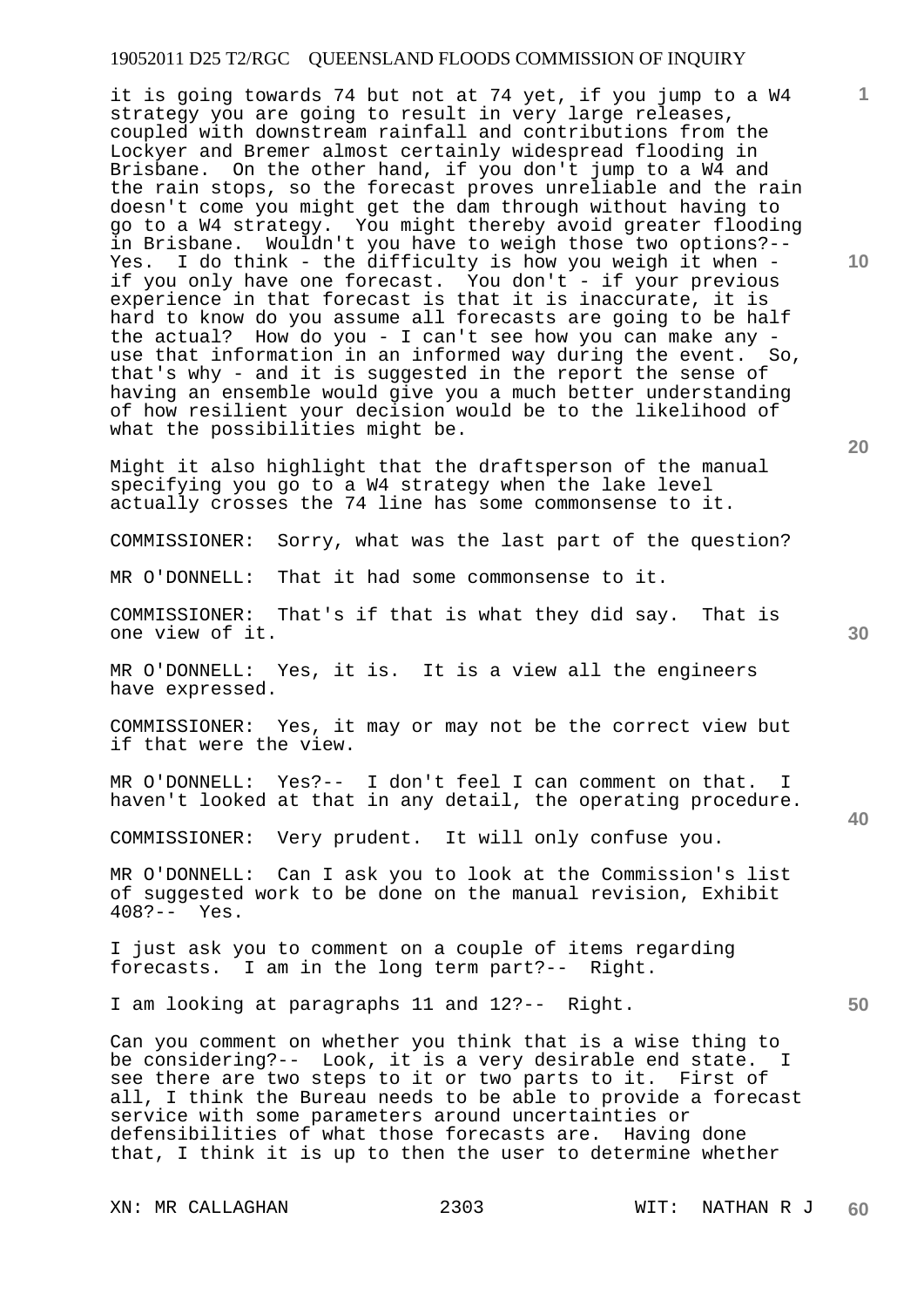it is going towards 74 but not at 74 yet, if you jump to a W4 strategy you are going to result in very large releases, coupled with downstream rainfall and contributions from the Lockyer and Bremer almost certainly widespread flooding in Brisbane. On the other hand, if you don't jump to a W4 and the rain stops, so the forecast proves unreliable and the rain doesn't come you might get the dam through without having to go to a W4 strategy. You might thereby avoid greater flooding in Brisbane. Wouldn't you have to weigh those two options?-- Yes. I do think - the difficulty is how you weigh it when if you only have one forecast. You don't - if your previous experience in that forecast is that it is inaccurate, it is hard to know do you assume all forecasts are going to be half the actual? How do you - I can't see how you can make any use that information in an informed way during the event. So, that's why - and it is suggested in the report the sense of having an ensemble would give you a much better understanding of how resilient your decision would be to the likelihood of what the possibilities might be.

Might it also highlight that the draftsperson of the manual specifying you go to a W4 strategy when the lake level actually crosses the 74 line has some commonsense to it.

COMMISSIONER: Sorry, what was the last part of the question?

MR O'DONNELL: That it had some commonsense to it.

COMMISSIONER: That's if that is what they did say. That is one view of it.

MR O'DONNELL: Yes, it is. It is a view all the engineers have expressed.

COMMISSIONER: Yes, it may or may not be the correct view but if that were the view.

MR O'DONNELL: Yes?-- I don't feel I can comment on that. I haven't looked at that in any detail, the operating procedure.

COMMISSIONER: Very prudent. It will only confuse you.

MR O'DONNELL: Can I ask you to look at the Commission's list of suggested work to be done on the manual revision, Exhibit 408?-- Yes.

I just ask you to comment on a couple of items regarding forecasts. I am in the long term part?-- Right.

I am looking at paragraphs 11 and 12?-- Right.

Can you comment on whether you think that is a wise thing to be considering?-- Look, it is a very desirable end state. I see there are two steps to it or two parts to it. First of all, I think the Bureau needs to be able to provide a forecast service with some parameters around uncertainties or defensibilities of what those forecasts are. Having done that, I think it is up to then the user to determine whether

XN: MR CALLAGHAN 2303 WIT: NATHAN R J

**10** 

**1**

**30** 

**20** 

**50**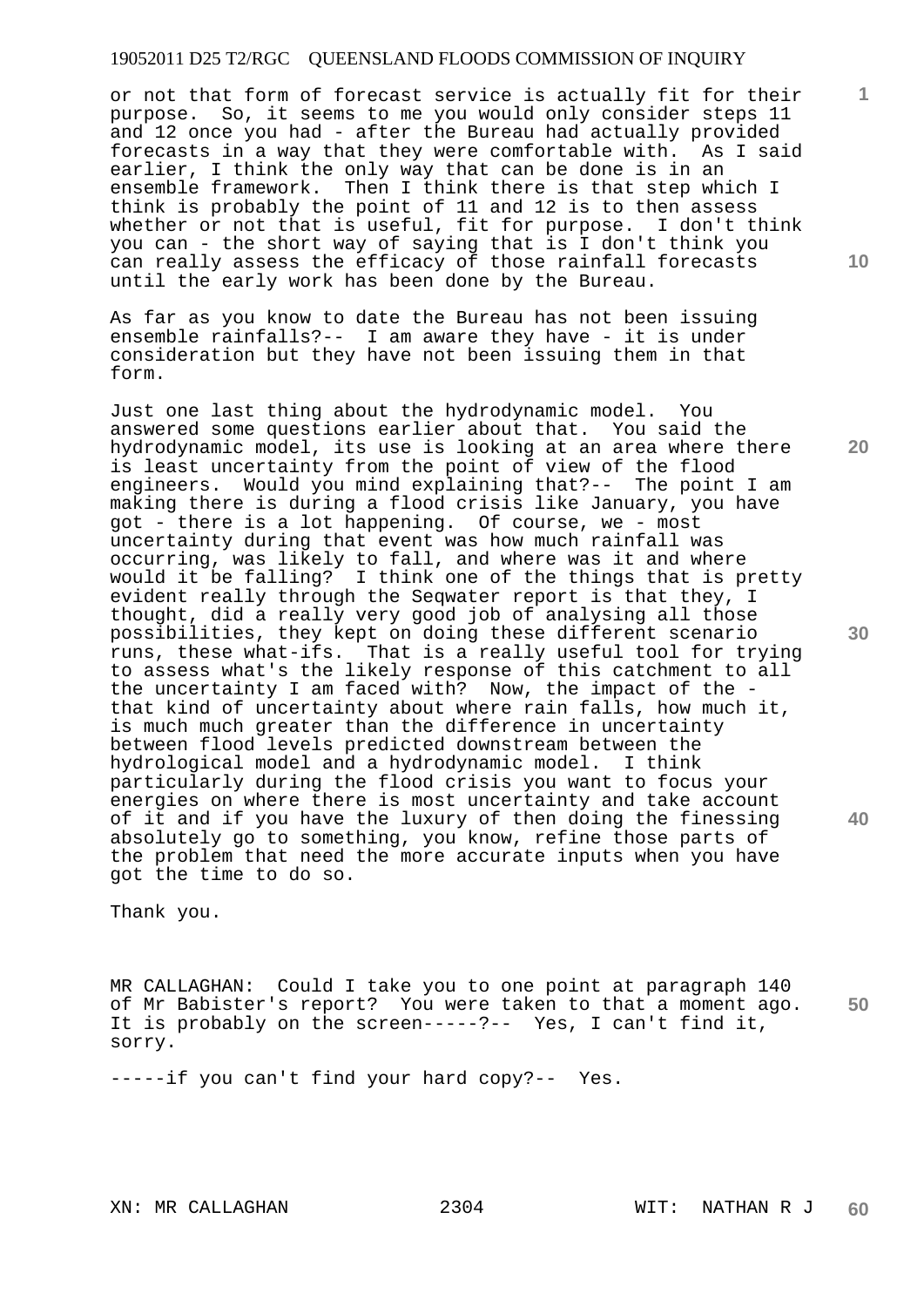or not that form of forecast service is actually fit for their purpose. So, it seems to me you would only consider steps 11 and 12 once you had - after the Bureau had actually provided forecasts in a way that they were comfortable with. As I said earlier, I think the only way that can be done is in an ensemble framework. Then I think there is that step which I think is probably the point of 11 and 12 is to then assess whether or not that is useful, fit for purpose. I don't think you can - the short way of saying that is I don't think you can really assess the efficacy of those rainfall forecasts until the early work has been done by the Bureau.

As far as you know to date the Bureau has not been issuing ensemble rainfalls?-- I am aware they have - it is under consideration but they have not been issuing them in that form.

Just one last thing about the hydrodynamic model. You answered some questions earlier about that. You said the hydrodynamic model, its use is looking at an area where there is least uncertainty from the point of view of the flood engineers. Would you mind explaining that?-- The point I am making there is during a flood crisis like January, you have got - there is a lot happening. Of course, we - most uncertainty during that event was how much rainfall was occurring, was likely to fall, and where was it and where would it be falling? I think one of the things that is pretty evident really through the Seqwater report is that they, I thought, did a really very good job of analysing all those possibilities, they kept on doing these different scenario runs, these what-ifs. That is a really useful tool for trying to assess what's the likely response of this catchment to all the uncertainty I am faced with? Now, the impact of the that kind of uncertainty about where rain falls, how much it, is much much greater than the difference in uncertainty between flood levels predicted downstream between the hydrological model and a hydrodynamic model. I think particularly during the flood crisis you want to focus your energies on where there is most uncertainty and take account of it and if you have the luxury of then doing the finessing absolutely go to something, you know, refine those parts of the problem that need the more accurate inputs when you have got the time to do so.

Thank you.

**50**  MR CALLAGHAN: Could I take you to one point at paragraph 140 of Mr Babister's report? You were taken to that a moment ago. It is probably on the screen-----?-- Yes, I can't find it, sorry.

-----if you can't find your hard copy?-- Yes.

XN: MR CALLAGHAN 2304 WIT: NATHAN R J

**10** 

**1**

**30** 

**40**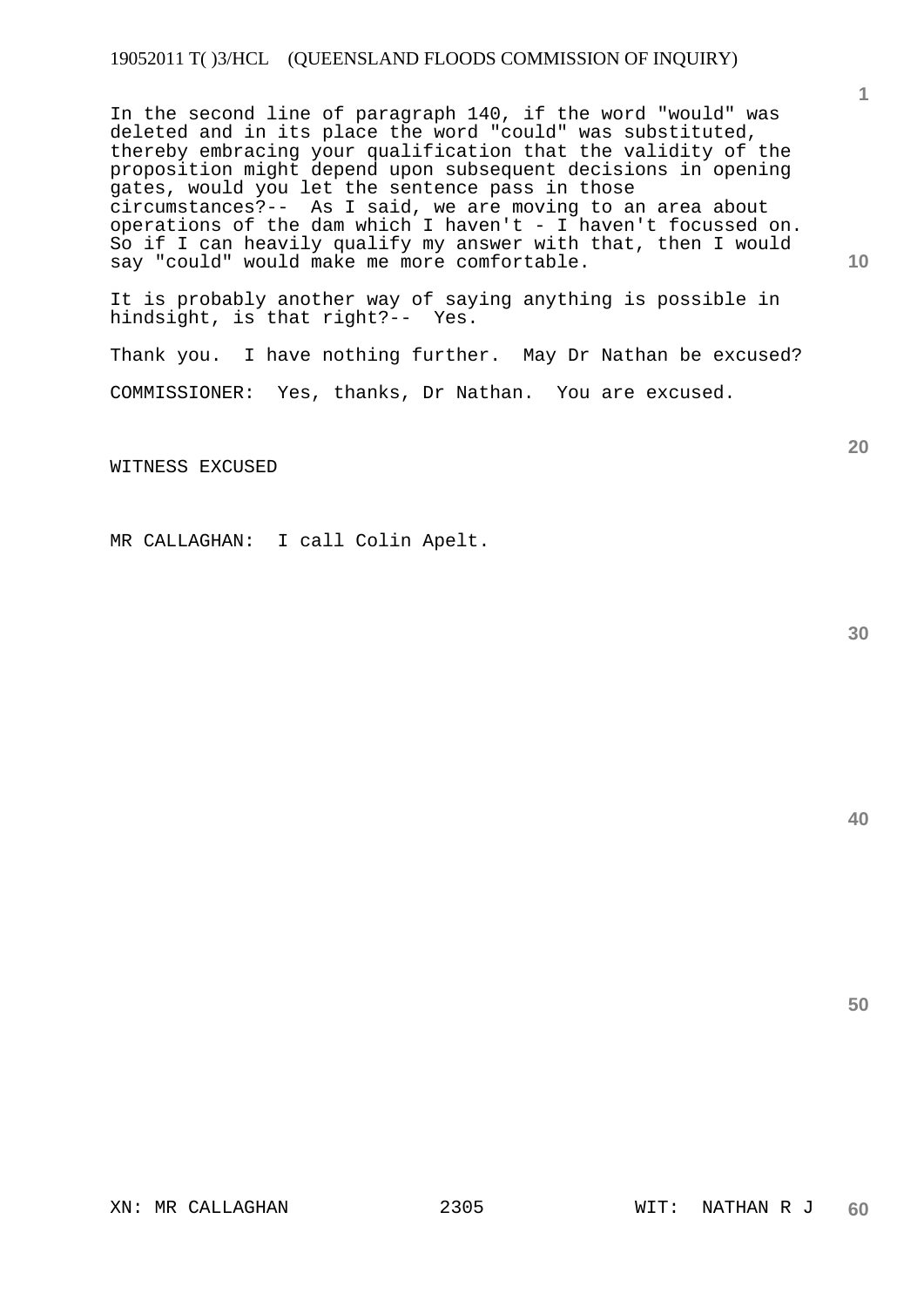## 19052011 T( )3/HCL (QUEENSLAND FLOODS COMMISSION OF INQUIRY)

In the second line of paragraph 140, if the word "would" was deleted and in its place the word "could" was substituted, thereby embracing your qualification that the validity of the proposition might depend upon subsequent decisions in opening gates, would you let the sentence pass in those circumstances?-- As I said, we are moving to an area about operations of the dam which I haven't - I haven't focussed on. So if I can heavily qualify my answer with that, then I would say "could" would make me more comfortable.

It is probably another way of saying anything is possible in hindsight, is that right?-- Yes.

Thank you. I have nothing further. May Dr Nathan be excused? COMMISSIONER: Yes, thanks, Dr Nathan. You are excused.

WITNESS EXCUSED

MR CALLAGHAN: I call Colin Apelt.

**30** 

**50** 

**1**

**10**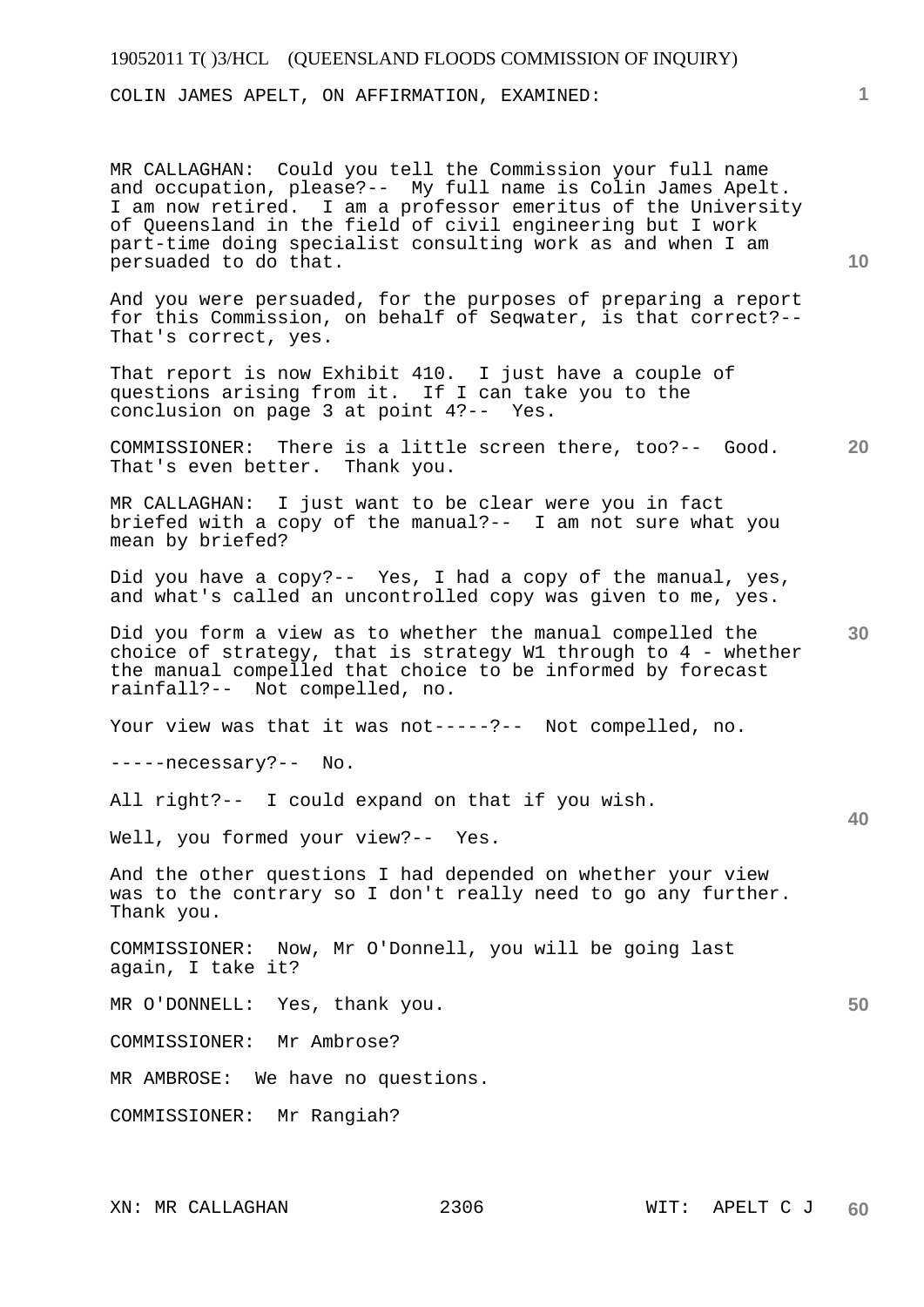## 19052011 T( )3/HCL (QUEENSLAND FLOODS COMMISSION OF INQUIRY)

COLIN JAMES APELT, ON AFFIRMATION, EXAMINED:

MR CALLAGHAN: Could you tell the Commission your full name and occupation, please?-- My full name is Colin James Apelt. I am now retired. I am a professor emeritus of the University of Queensland in the field of civil engineering but I work part-time doing specialist consulting work as and when I am persuaded to do that.

And you were persuaded, for the purposes of preparing a report for this Commission, on behalf of Seqwater, is that correct?-- That's correct, yes.

That report is now Exhibit 410. I just have a couple of questions arising from it. If I can take you to the conclusion on page 3 at point 4?-- Yes.

**20**  COMMISSIONER: There is a little screen there, too?-- Good. That's even better. Thank you.

MR CALLAGHAN: I just want to be clear were you in fact briefed with a copy of the manual?-- I am not sure what you mean by briefed?

Did you have a copy?-- Yes, I had a copy of the manual, yes, and what's called an uncontrolled copy was given to me, yes.

**30**  Did you form a view as to whether the manual compelled the choice of strategy, that is strategy W1 through to 4 - whether the manual compelled that choice to be informed by forecast rainfall?-- Not compelled, no.

Your view was that it was not-----?-- Not compelled, no.

-----necessary?-- No.

All right?-- I could expand on that if you wish.

Well, you formed your view?-- Yes.

And the other questions I had depended on whether your view was to the contrary so I don't really need to go any further. Thank you.

COMMISSIONER: Now, Mr O'Donnell, you will be going last again, I take it?

MR O'DONNELL: Yes, thank you.

COMMISSIONER: Mr Ambrose?

MR AMBROSE: We have no questions.

COMMISSIONER: Mr Rangiah?

**1**

**10** 

**40**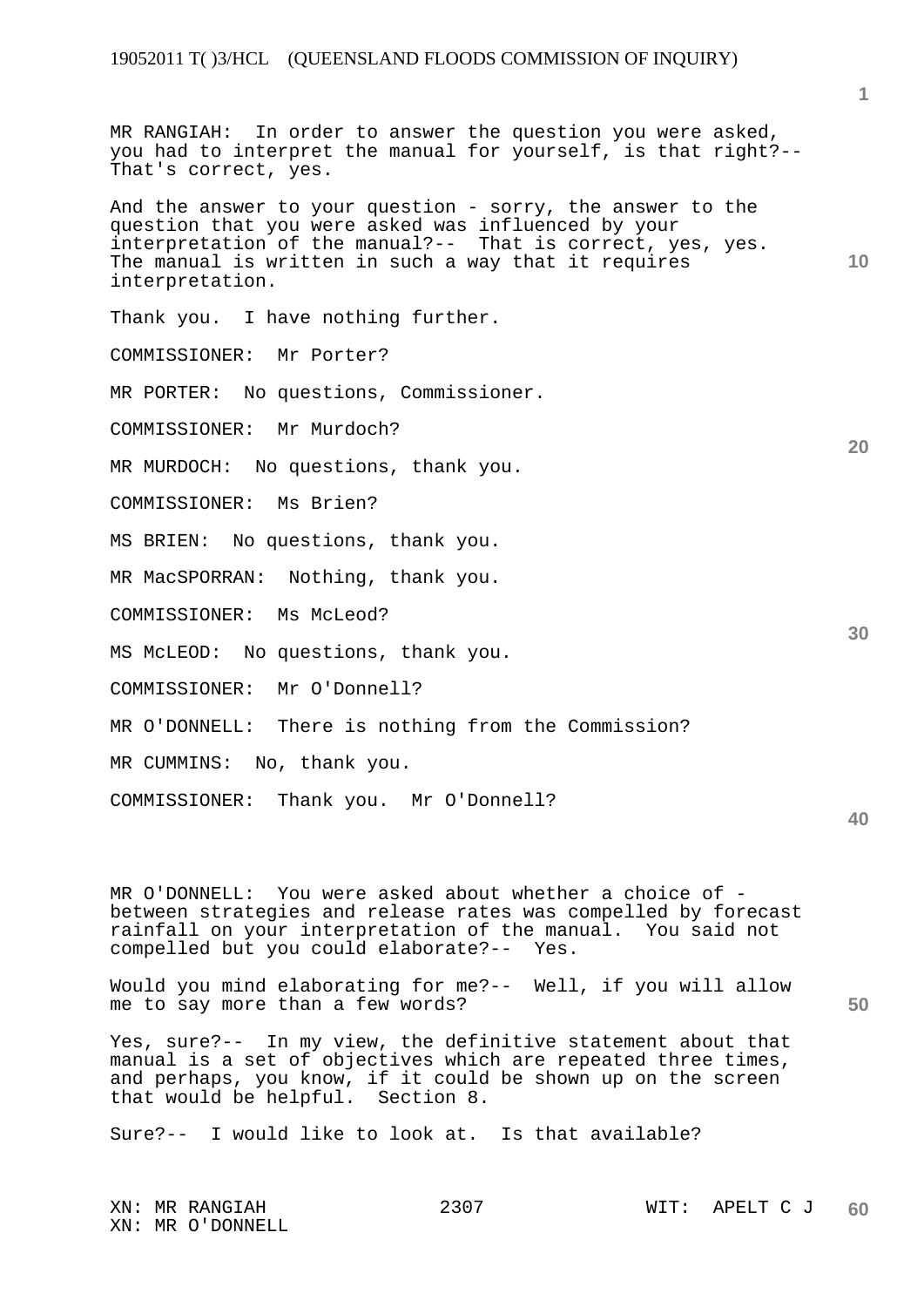**1**

| MR RANGIAH: In order to answer the question you were asked,<br>you had to interpret the manual for yourself, is that right?--<br>That's correct, yes.                                                                                                      |    |
|------------------------------------------------------------------------------------------------------------------------------------------------------------------------------------------------------------------------------------------------------------|----|
| And the answer to your question - sorry, the answer to the<br>question that you were asked was influenced by your<br>interpretation of the manual?-- That is correct, yes, yes.<br>The manual is written in such a way that it requires<br>interpretation. | 10 |
| Thank you. I have nothing further.                                                                                                                                                                                                                         |    |
| COMMISSIONER: Mr Porter?                                                                                                                                                                                                                                   |    |
| No questions, Commissioner.<br>MR PORTER:                                                                                                                                                                                                                  |    |
| COMMISSIONER: Mr Murdoch?                                                                                                                                                                                                                                  |    |
| MR MURDOCH: No questions, thank you.                                                                                                                                                                                                                       | 20 |
| COMMISSIONER: Ms Brien?                                                                                                                                                                                                                                    |    |
| No questions, thank you.<br>MS BRIEN:                                                                                                                                                                                                                      |    |
| MR MacSPORRAN: Nothing, thank you.                                                                                                                                                                                                                         |    |
| COMMISSIONER: Ms McLeod?                                                                                                                                                                                                                                   | 30 |
| No questions, thank you.<br>MS MCLEOD:                                                                                                                                                                                                                     |    |
| Mr O'Donnell?<br>COMMISSIONER:                                                                                                                                                                                                                             |    |
| MR O'DONNELL: There is nothing from the Commission?                                                                                                                                                                                                        |    |
| MR CUMMINS:<br>No, thank you.                                                                                                                                                                                                                              |    |
| COMMISSIONER: Thank you. Mr O'Donnell?                                                                                                                                                                                                                     | 40 |
|                                                                                                                                                                                                                                                            |    |

MR O'DONNELL: You were asked about whether a choice of between strategies and release rates was compelled by forecast rainfall on your interpretation of the manual. You said not compelled but you could elaborate?-- Yes.

Would you mind elaborating for me?-- Well, if you will allow me to say more than a few words?

Yes, sure?-- In my view, the definitive statement about that manual is a set of objectives which are repeated three times, and perhaps, you know, if it could be shown up on the screen that would be helpful. Section 8.

Sure?-- I would like to look at. Is that available?

XN: MR O'DONNELL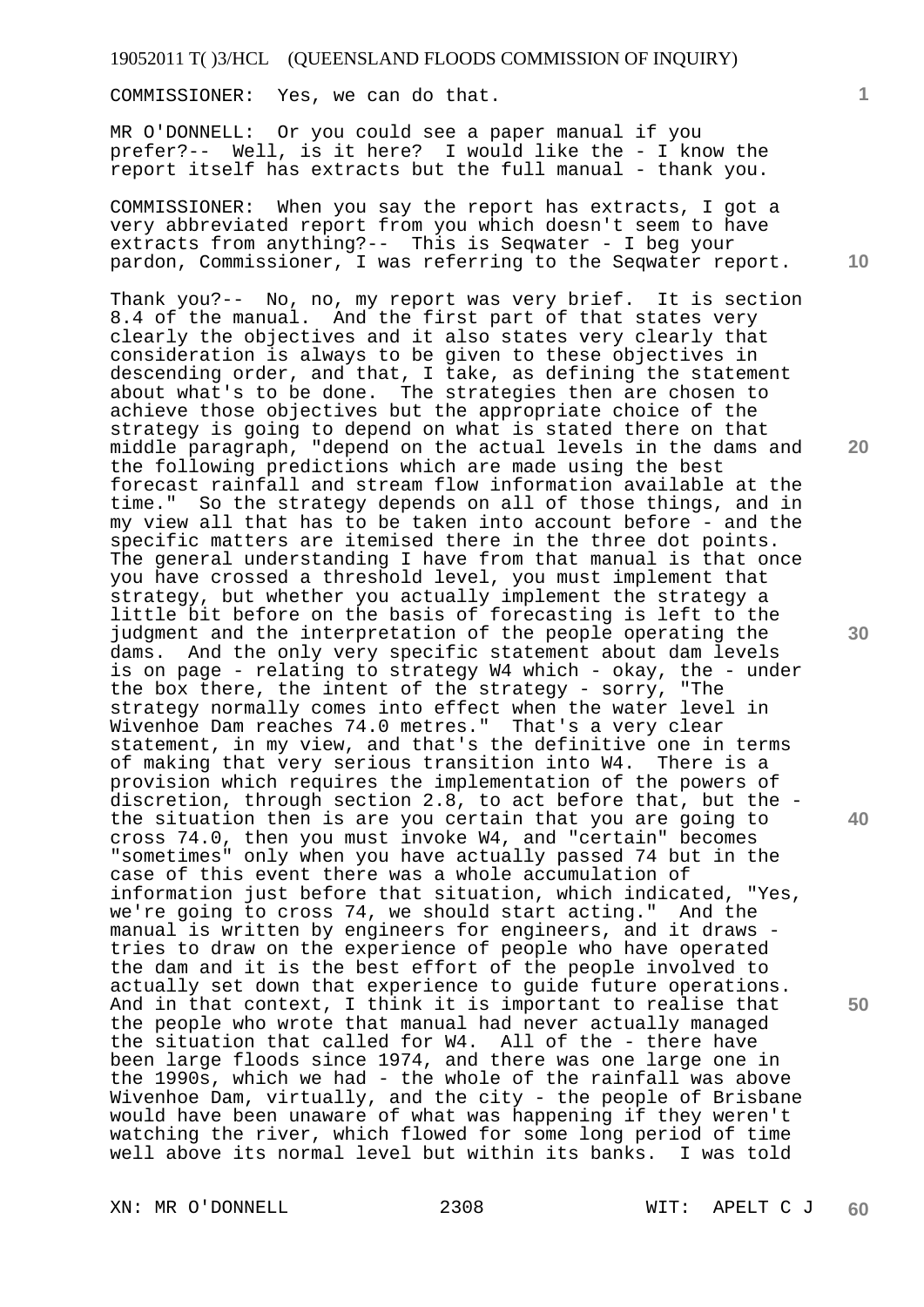COMMISSIONER: Yes, we can do that.

MR O'DONNELL: Or you could see a paper manual if you prefer?-- Well, is it here? I would like the - I know the report itself has extracts but the full manual - thank you.

COMMISSIONER: When you say the report has extracts, I got a very abbreviated report from you which doesn't seem to have extracts from anything?-- This is Seqwater - I beg your pardon, Commissioner, I was referring to the Seqwater report.

Thank you?-- No, no, my report was very brief. It is section 8.4 of the manual. And the first part of that states very clearly the objectives and it also states very clearly that consideration is always to be given to these objectives in descending order, and that, I take, as defining the statement about what's to be done. The strategies then are chosen to achieve those objectives but the appropriate choice of the strategy is going to depend on what is stated there on that middle paragraph, "depend on the actual levels in the dams and the following predictions which are made using the best forecast rainfall and stream flow information available at the time." So the strategy depends on all of those things, and in my view all that has to be taken into account before - and the specific matters are itemised there in the three dot points. The general understanding I have from that manual is that once you have crossed a threshold level, you must implement that strategy, but whether you actually implement the strategy a little bit before on the basis of forecasting is left to the judgment and the interpretation of the people operating the dams. And the only very specific statement about dam levels is on page - relating to strategy W4 which - okay, the - under the box there, the intent of the strategy - sorry, "The strategy normally comes into effect when the water level in Wivenhoe Dam reaches 74.0 metres." That's a very clear statement, in my view, and that's the definitive one in terms of making that very serious transition into W4. There is a provision which requires the implementation of the powers of discretion, through section 2.8, to act before that, but the the situation then is are you certain that you are going to cross 74.0, then you must invoke W4, and "certain" becomes "sometimes" only when you have actually passed 74 but in the case of this event there was a whole accumulation of information just before that situation, which indicated, "Yes, we're going to cross 74, we should start acting." And the manual is written by engineers for engineers, and it draws tries to draw on the experience of people who have operated the dam and it is the best effort of the people involved to actually set down that experience to guide future operations. And in that context, I think it is important to realise that the people who wrote that manual had never actually managed the situation that called for W4. All of the - there have been large floods since 1974, and there was one large one in the 1990s, which we had - the whole of the rainfall was above Wivenhoe Dam, virtually, and the city - the people of Brisbane would have been unaware of what was happening if they weren't watching the river, which flowed for some long period of time well above its normal level but within its banks. I was told

XN: MR O'DONNELL 2308 WIT: APELT C J

**1**

**10** 

**20** 

**30** 

**40**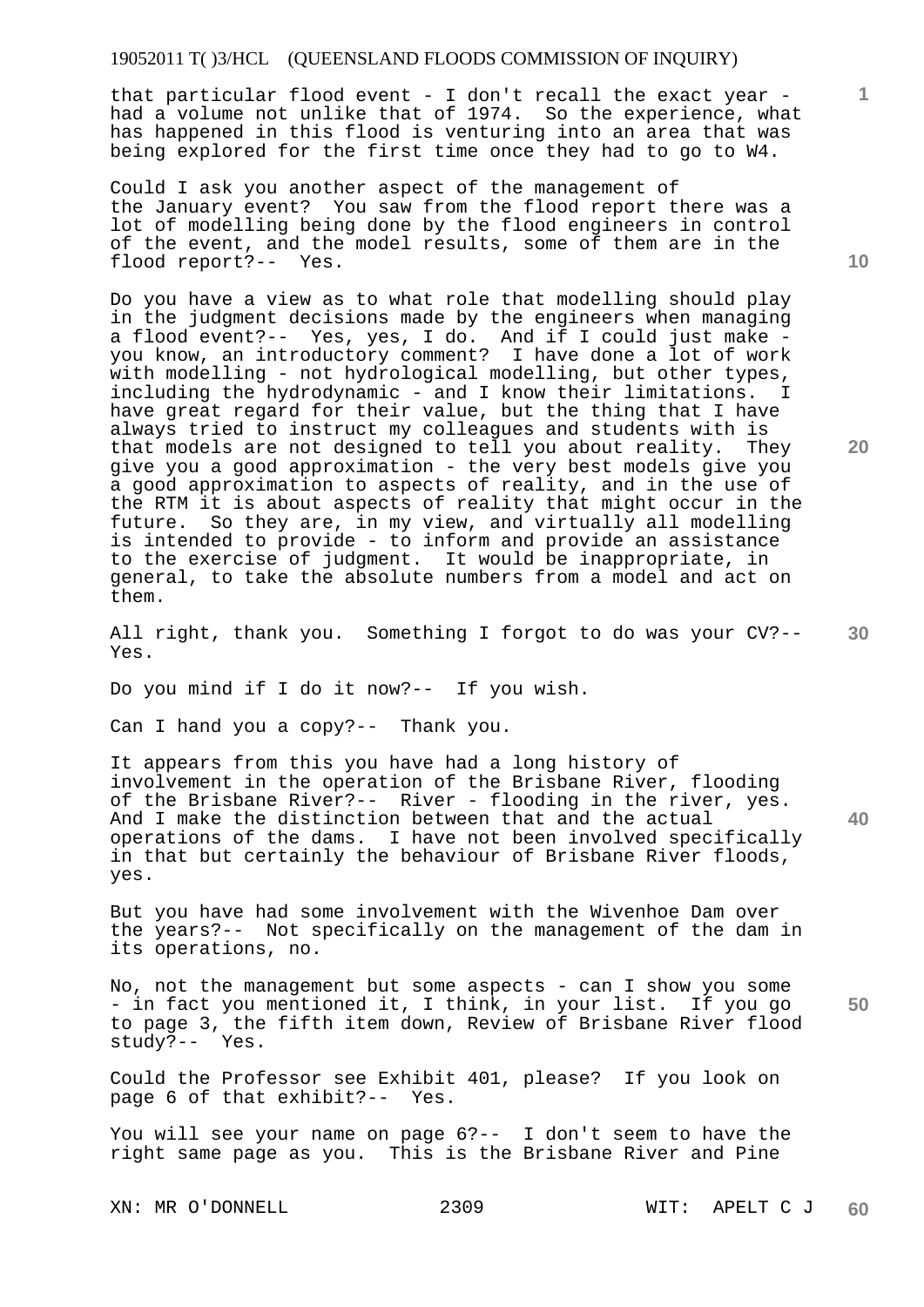#### 19052011 T( )3/HCL (QUEENSLAND FLOODS COMMISSION OF INQUIRY)

that particular flood event - I don't recall the exact year had a volume not unlike that of 1974. So the experience, what has happened in this flood is venturing into an area that was being explored for the first time once they had to go to W4.

Could I ask you another aspect of the management of the January event? You saw from the flood report there was a lot of modelling being done by the flood engineers in control of the event, and the model results, some of them are in the flood report?-- Yes.

Do you have a view as to what role that modelling should play in the judgment decisions made by the engineers when managing a flood event?-- Yes, yes, I do. And if I could just make you know, an introductory comment? I have done a lot of work with modelling - not hydrological modelling, but other types, including the hydrodynamic - and I know their limitations. I have great regard for their value, but the thing that I have always tried to instruct my colleagues and students with is that models are not designed to tell you about reality. They give you a good approximation - the very best models give you a good approximation to aspects of reality, and in the use of the RTM it is about aspects of reality that might occur in the future. So they are, in my view, and virtually all modelling is intended to provide - to inform and provide an assistance to the exercise of judgment. It would be inappropriate, in general, to take the absolute numbers from a model and act on them.

**30**  All right, thank you. Something I forgot to do was your CV?-- Yes.

Do you mind if I do it now?-- If you wish.

Can I hand you a copy?-- Thank you.

It appears from this you have had a long history of involvement in the operation of the Brisbane River, flooding of the Brisbane River?-- River - flooding in the river, yes. And I make the distinction between that and the actual operations of the dams. I have not been involved specifically in that but certainly the behaviour of Brisbane River floods, yes.

But you have had some involvement with the Wivenhoe Dam over the years?-- Not specifically on the management of the dam in its operations, no.

**50**  No, not the management but some aspects - can I show you some - in fact you mentioned it, I think, in your list. If you go to page 3, the fifth item down, Review of Brisbane River flood study?-- Yes.

Could the Professor see Exhibit 401, please? If you look on page 6 of that exhibit?-- Yes.

You will see your name on page 6?-- I don't seem to have the right same page as you. This is the Brisbane River and Pine

XN: MR O'DONNELL 2309 WIT: APELT C J

**10** 

**1**

**20**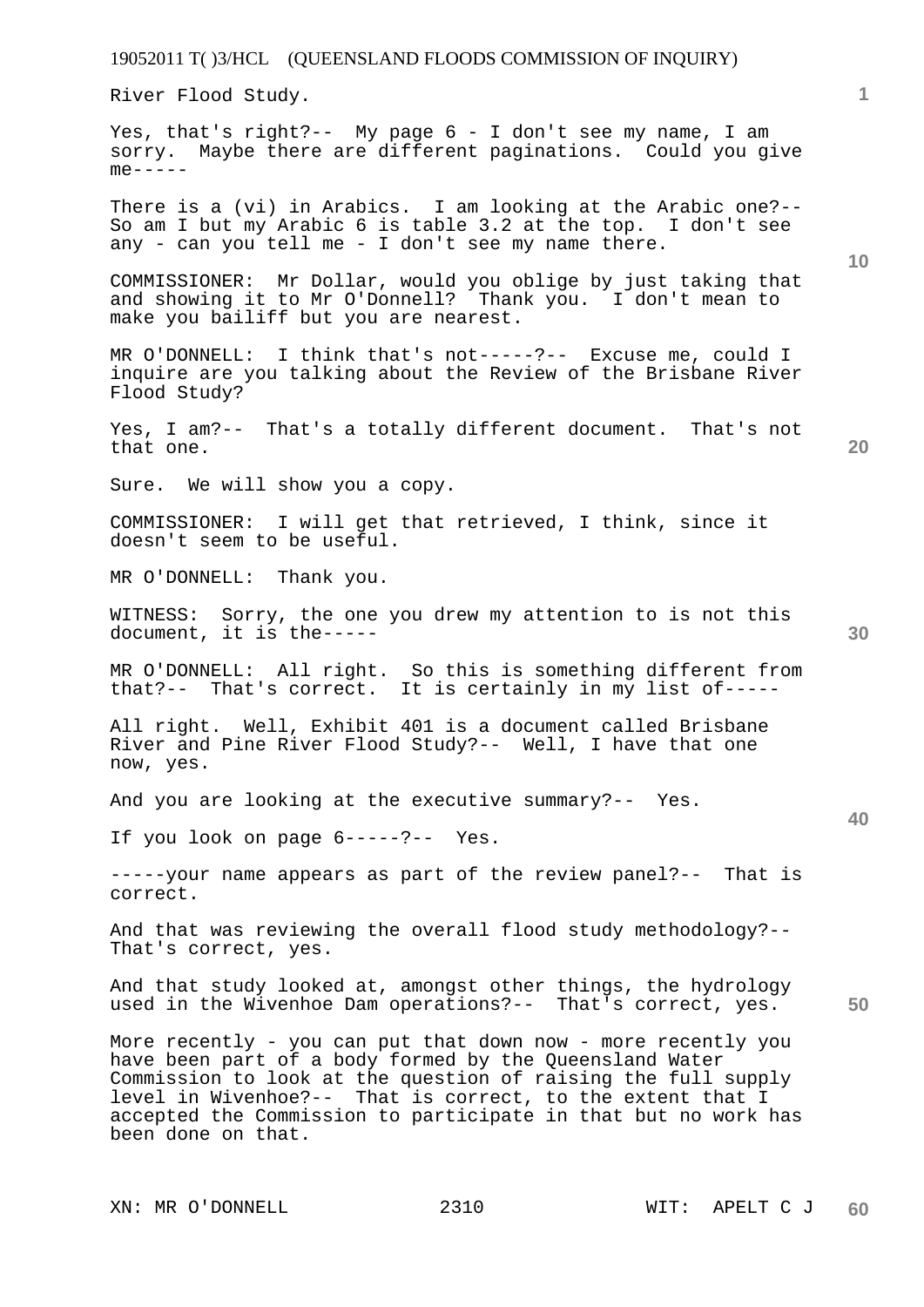River Flood Study.

Yes, that's right?-- My page 6 - I don't see my name, I am sorry. Maybe there are different paginations. Could you give  $me----$ 

There is a (vi) in Arabics. I am looking at the Arabic one?-- So am I but my Arabic 6 is table 3.2 at the top. I don't see any - can you tell me - I don't see my name there.

COMMISSIONER: Mr Dollar, would you oblige by just taking that and showing it to Mr O'Donnell? Thank you. I don't mean to make you bailiff but you are nearest.

MR O'DONNELL: I think that's not-----?-- Excuse me, could I inquire are you talking about the Review of the Brisbane River Flood Study?

Yes, I am?-- That's a totally different document. That's not that one.

Sure. We will show you a copy.

COMMISSIONER: I will get that retrieved, I think, since it doesn't seem to be useful.

MR O'DONNELL: Thank you.

WITNESS: Sorry, the one you drew my attention to is not this document, it is the-----

MR O'DONNELL: All right. So this is something different from that?-- That's correct. It is certainly in my list of-----

All right. Well, Exhibit 401 is a document called Brisbane River and Pine River Flood Study?-- Well, I have that one now, yes.

And you are looking at the executive summary?-- Yes.

If you look on page 6-----?-- Yes.

-----your name appears as part of the review panel?-- That is correct.

And that was reviewing the overall flood study methodology?-- That's correct, yes.

And that study looked at, amongst other things, the hydrology used in the Wivenhoe Dam operations?-- That's correct, yes.

More recently - you can put that down now - more recently you have been part of a body formed by the Queensland Water Commission to look at the question of raising the full supply level in Wivenhoe?-- That is correct, to the extent that I accepted the Commission to participate in that but no work has been done on that.

XN: MR O'DONNELL 2310 WIT: APELT C J

**10** 

**20** 

**1**

**30**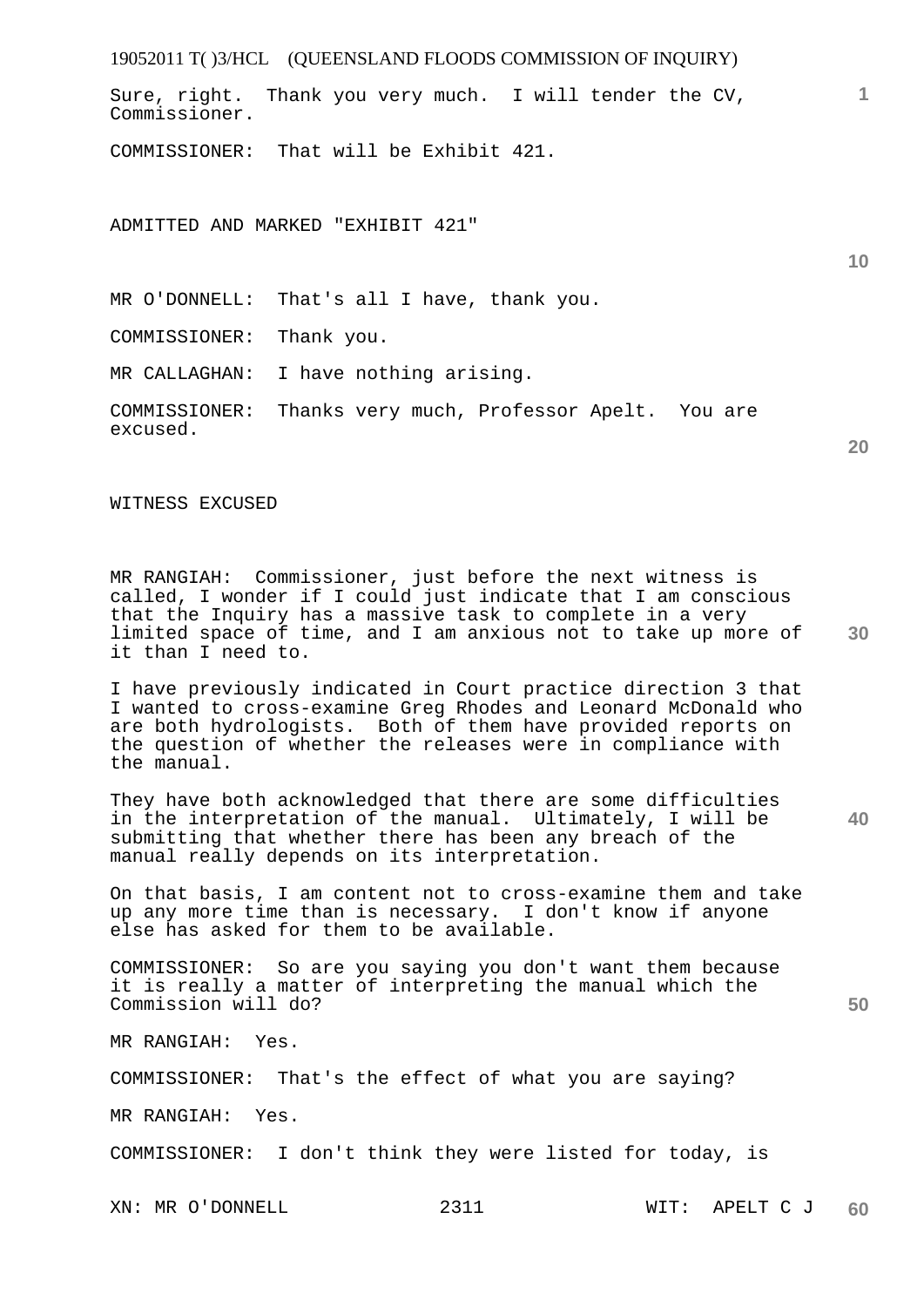19052011 T( )3/HCL (QUEENSLAND FLOODS COMMISSION OF INQUIRY) **1 10**  Sure, right. Thank you very much. I will tender the CV, Commissioner. COMMISSIONER: That will be Exhibit 421. ADMITTED AND MARKED "EXHIBIT 421"

MR O'DONNELL: That's all I have, thank you.

COMMISSIONER: Thank you.

MR CALLAGHAN: I have nothing arising.

COMMISSIONER: Thanks very much, Professor Apelt. You are excused.

WITNESS EXCUSED

**30**  MR RANGIAH: Commissioner, just before the next witness is called, I wonder if I could just indicate that I am conscious that the Inquiry has a massive task to complete in a very limited space of time, and I am anxious not to take up more of it than I need to.

I have previously indicated in Court practice direction 3 that I wanted to cross-examine Greg Rhodes and Leonard McDonald who are both hydrologists. Both of them have provided reports on the question of whether the releases were in compliance with the manual.

They have both acknowledged that there are some difficulties in the interpretation of the manual. Ultimately, I will be submitting that whether there has been any breach of the manual really depends on its interpretation.

On that basis, I am content not to cross-examine them and take up any more time than is necessary. I don't know if anyone else has asked for them to be available.

COMMISSIONER: So are you saying you don't want them because it is really a matter of interpreting the manual which the Commission will do?

MR RANGIAH: Yes.

COMMISSIONER: That's the effect of what you are saying?

MR RANGIAH: Yes.

COMMISSIONER: I don't think they were listed for today, is

**20** 

**40**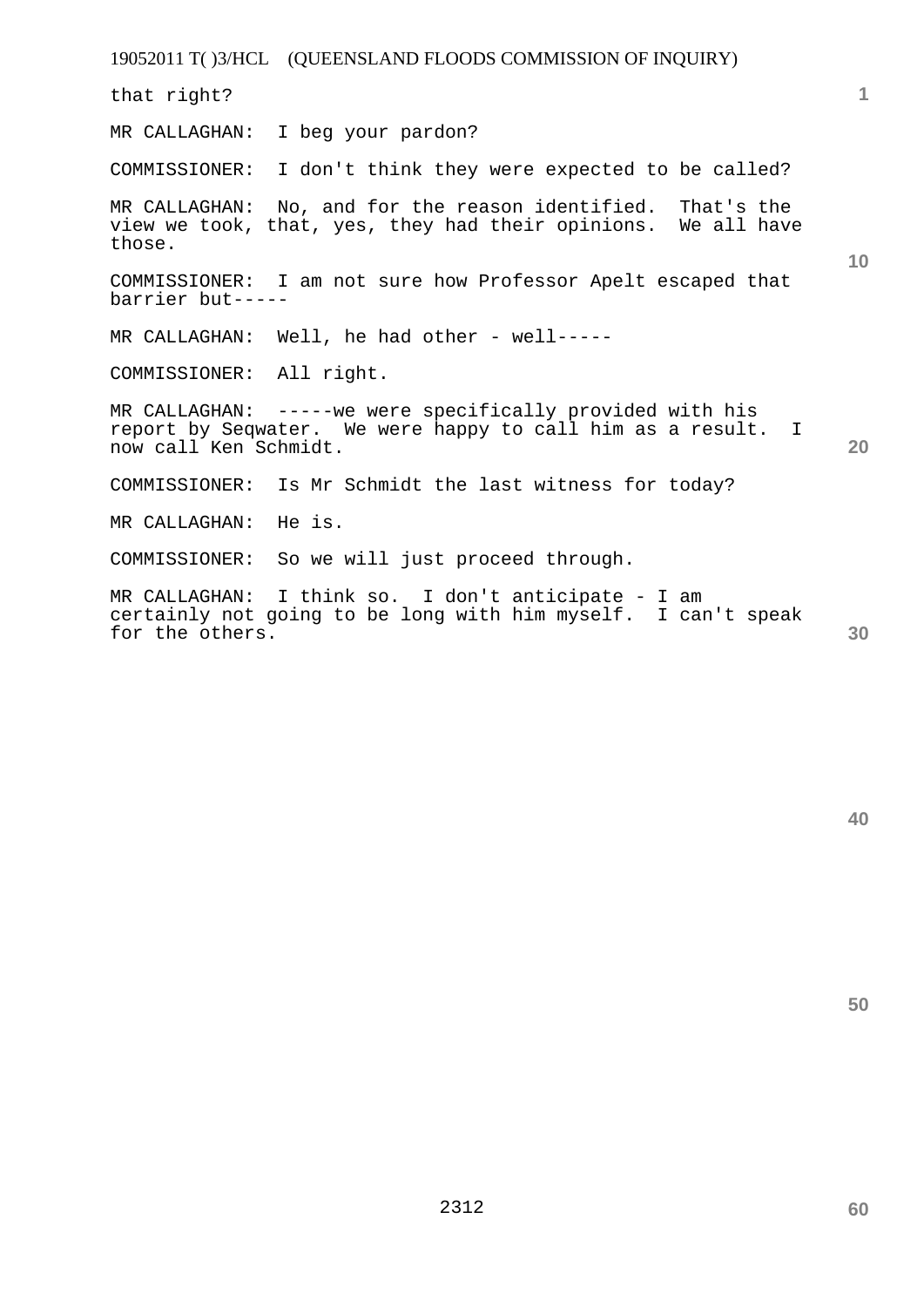19052011 T( )3/HCL (QUEENSLAND FLOODS COMMISSION OF INQUIRY) **1 10 20 30**  that right? MR CALLAGHAN: I beg your pardon? COMMISSIONER: I don't think they were expected to be called? MR CALLAGHAN: No, and for the reason identified. That's the view we took, that, yes, they had their opinions. We all have those. COMMISSIONER: I am not sure how Professor Apelt escaped that barrier but----- MR CALLAGHAN: Well, he had other - well----- COMMISSIONER: All right. MR CALLAGHAN: -----we were specifically provided with his report by Seqwater. We were happy to call him as a result. I now call Ken Schmidt. COMMISSIONER: Is Mr Schmidt the last witness for today? MR CALLAGHAN: He is. COMMISSIONER: So we will just proceed through. MR CALLAGHAN: I think so. I don't anticipate - I am certainly not going to be long with him myself. I can't speak for the others.

**40**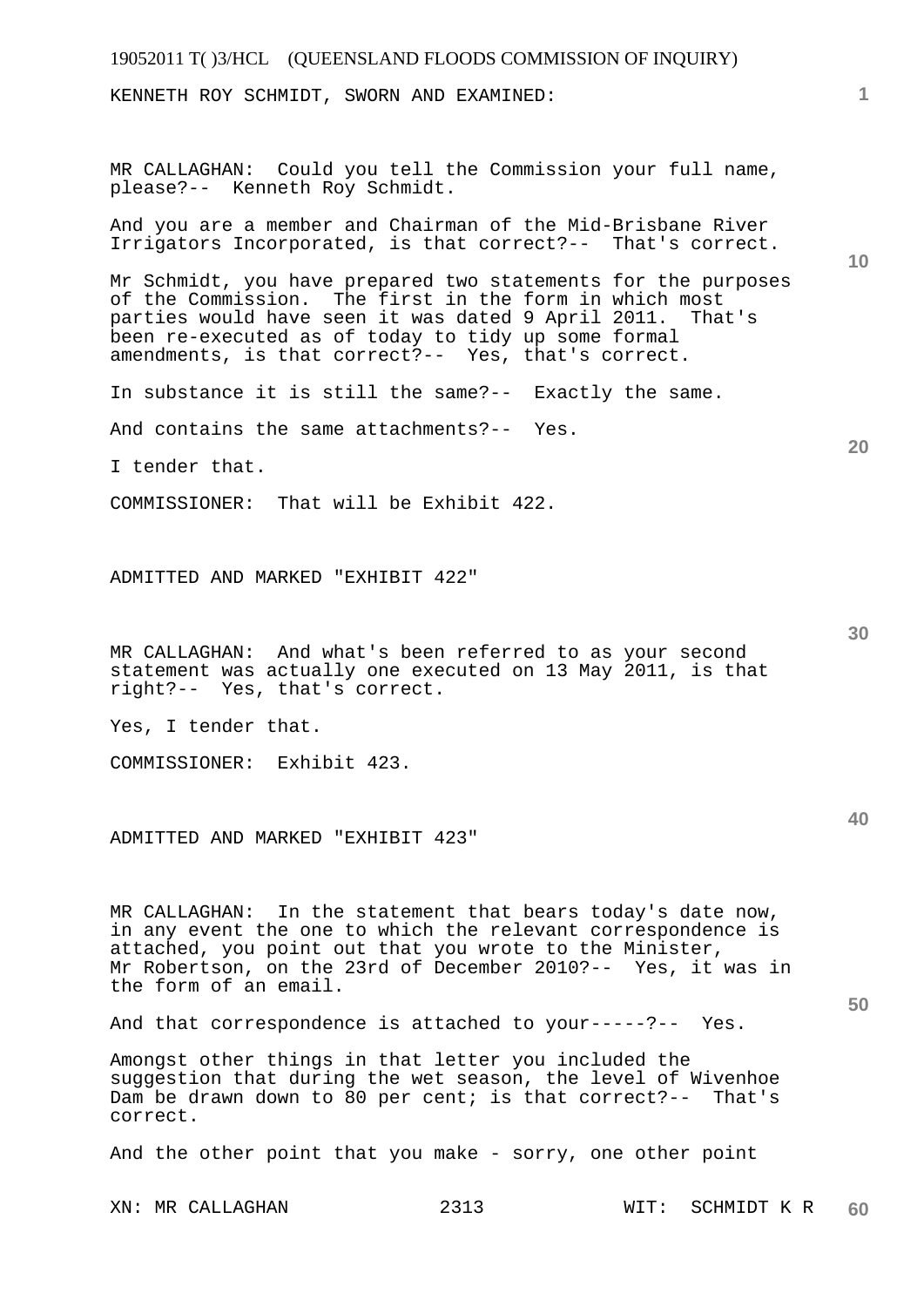## 19052011 T( )3/HCL (QUEENSLAND FLOODS COMMISSION OF INQUIRY) **1 10 20 30 40 50**  KENNETH ROY SCHMIDT, SWORN AND EXAMINED: MR CALLAGHAN: Could you tell the Commission your full name, please?-- Kenneth Roy Schmidt. And you are a member and Chairman of the Mid-Brisbane River Irrigators Incorporated, is that correct?-- That's correct. Mr Schmidt, you have prepared two statements for the purposes of the Commission. The first in the form in which most parties would have seen it was dated 9 April 2011. That's been re-executed as of today to tidy up some formal amendments, is that correct?-- Yes, that's correct. In substance it is still the same?-- Exactly the same. And contains the same attachments?-- Yes. I tender that. COMMISSIONER: That will be Exhibit 422. ADMITTED AND MARKED "EXHIBIT 422" MR CALLAGHAN: And what's been referred to as your second statement was actually one executed on 13 May 2011, is that right?-- Yes, that's correct. Yes, I tender that. COMMISSIONER: Exhibit 423. ADMITTED AND MARKED "EXHIBIT 423" MR CALLAGHAN: In the statement that bears today's date now, in any event the one to which the relevant correspondence is attached, you point out that you wrote to the Minister, Mr Robertson, on the 23rd of December 2010?-- Yes, it was in the form of an email. And that correspondence is attached to your-----?-- Yes. Amongst other things in that letter you included the suggestion that during the wet season, the level of Wivenhoe Dam be drawn down to 80 per cent; is that correct?-- That's correct. And the other point that you make - sorry, one other point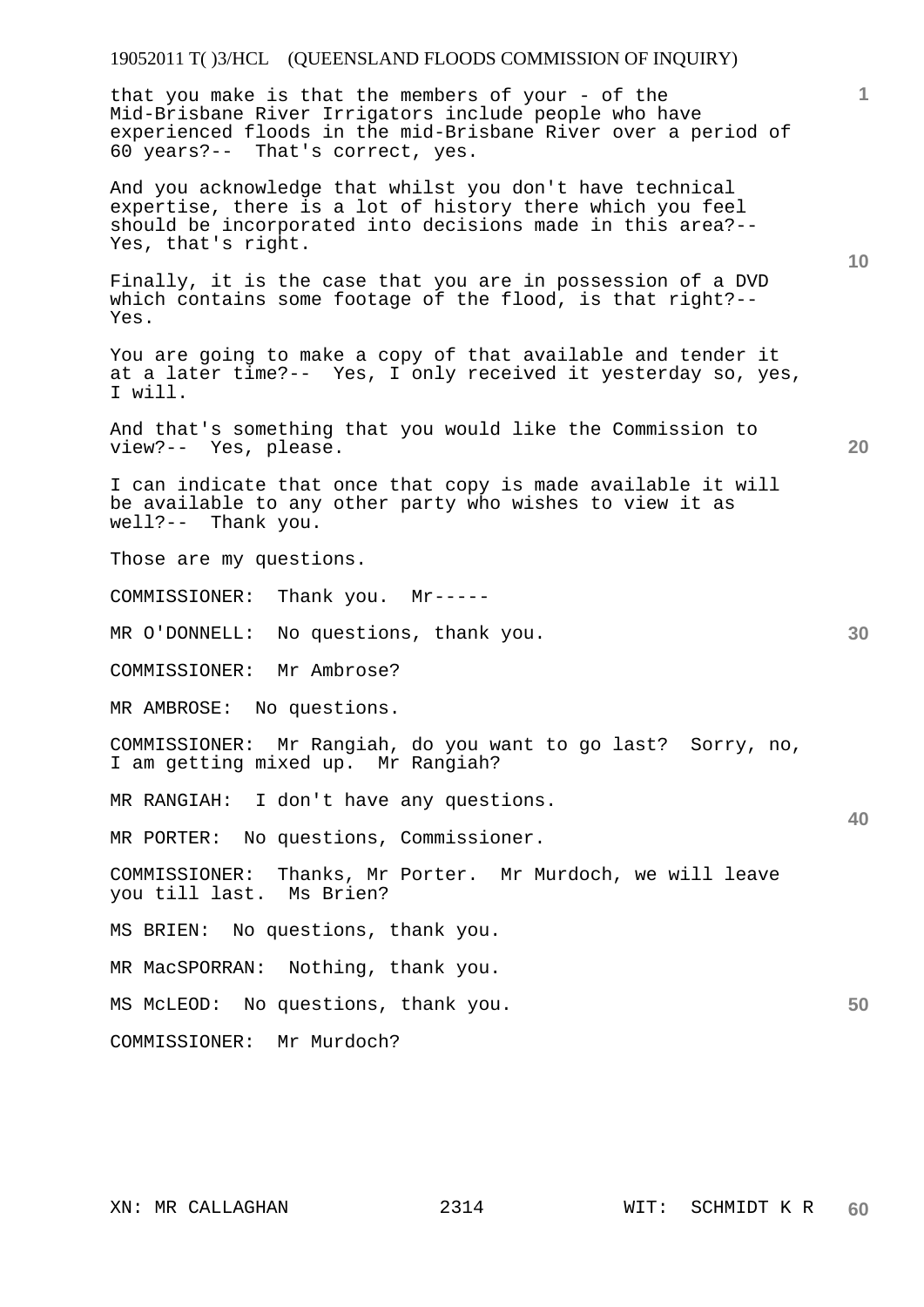## 19052011 T( )3/HCL (QUEENSLAND FLOODS COMMISSION OF INQUIRY)

that you make is that the members of your - of the Mid-Brisbane River Irrigators include people who have experienced floods in the mid-Brisbane River over a period of 60 years?-- That's correct, yes.

And you acknowledge that whilst you don't have technical expertise, there is a lot of history there which you feel should be incorporated into decisions made in this area?-- Yes, that's right.

Finally, it is the case that you are in possession of a DVD which contains some footage of the flood, is that right?-- Yes.

You are going to make a copy of that available and tender it at a later time?-- Yes, I only received it yesterday so, yes, I will.

And that's something that you would like the Commission to view?-- Yes, please.

I can indicate that once that copy is made available it will be available to any other party who wishes to view it as well?-- Thank you.

Those are my questions.

COMMISSIONER: Thank you. Mr-----

MR O'DONNELL: No questions, thank you.

COMMISSIONER: Mr Ambrose?

MR AMBROSE: No questions.

COMMISSIONER: Mr Rangiah, do you want to go last? Sorry, no, I am getting mixed up. Mr Rangiah?

MR RANGIAH: I don't have any questions.

MR PORTER: No questions, Commissioner.

COMMISSIONER: Thanks, Mr Porter. Mr Murdoch, we will leave you till last. Ms Brien?

MS BRIEN: No questions, thank you.

MR MacSPORRAN: Nothing, thank you.

MS McLEOD: No questions, thank you.

COMMISSIONER: Mr Murdoch?

**1**

**10** 

**20** 

**30** 

**40**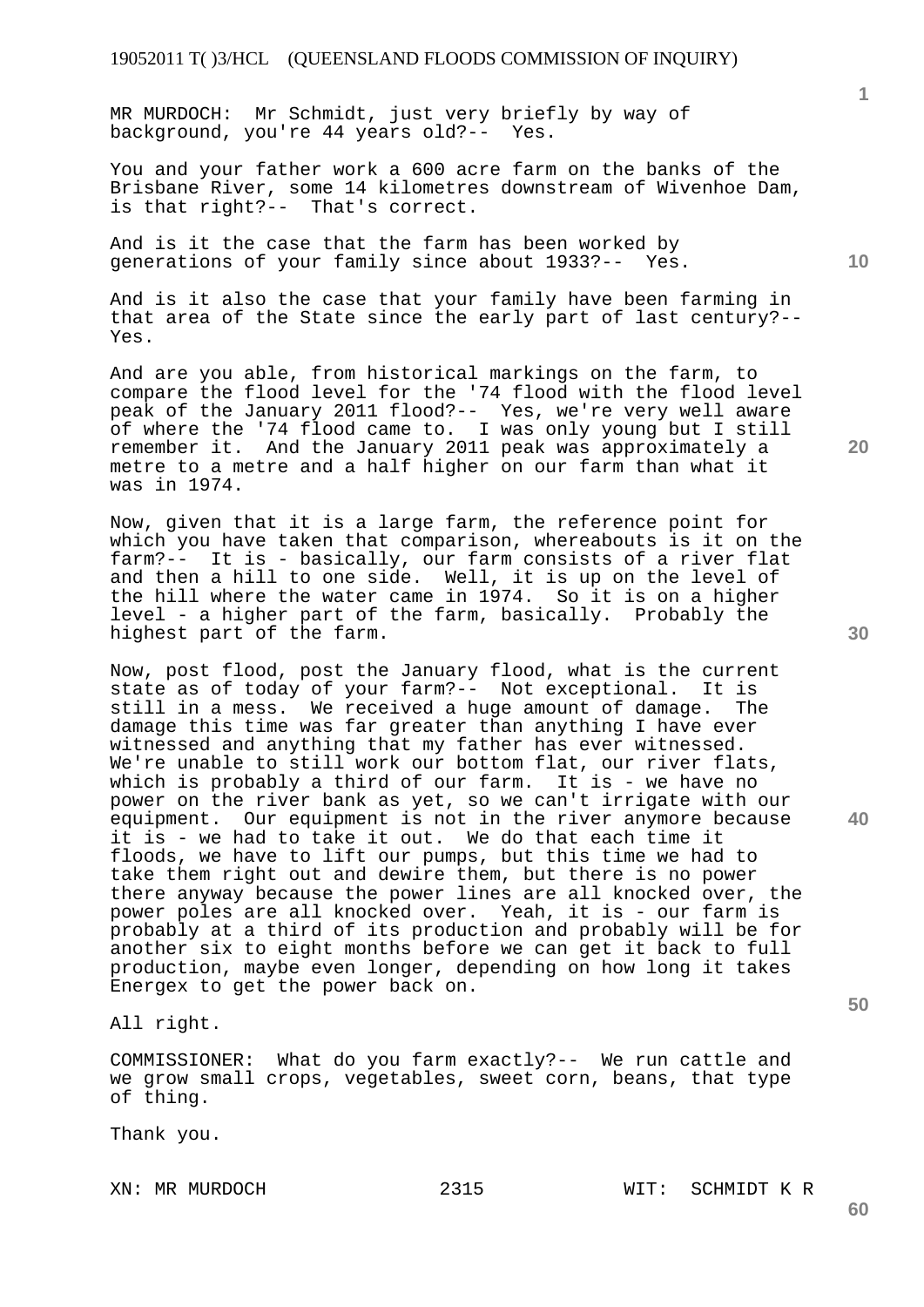MR MURDOCH: Mr Schmidt, just very briefly by way of background, you're 44 years old?-- Yes.

You and your father work a 600 acre farm on the banks of the Brisbane River, some 14 kilometres downstream of Wivenhoe Dam, is that right?-- That's correct.

And is it the case that the farm has been worked by generations of your family since about 1933?-- Yes.

And is it also the case that your family have been farming in that area of the State since the early part of last century?-- Yes.

And are you able, from historical markings on the farm, to compare the flood level for the '74 flood with the flood level peak of the January 2011 flood?-- Yes, we're very well aware of where the '74 flood came to. I was only young but I still remember it. And the January 2011 peak was approximately a metre to a metre and a half higher on our farm than what it was in 1974.

Now, given that it is a large farm, the reference point for which you have taken that comparison, whereabouts is it on the farm?-- It is - basically, our farm consists of a river flat and then a hill to one side. Well, it is up on the level of the hill where the water came in 1974. So it is on a higher level - a higher part of the farm, basically. Probably the highest part of the farm.

Now, post flood, post the January flood, what is the current state as of today of your farm?-- Not exceptional. It is still in a mess. We received a huge amount of damage. The damage this time was far greater than anything I have ever witnessed and anything that my father has ever witnessed. We're unable to still work our bottom flat, our river flats, which is probably a third of our farm. It is - we have no power on the river bank as yet, so we can't irrigate with our equipment. Our equipment is not in the river anymore because it is - we had to take it out. We do that each time it floods, we have to lift our pumps, but this time we had to take them right out and dewire them, but there is no power there anyway because the power lines are all knocked over, the power poles are all knocked over. Yeah, it is - our farm is probably at a third of its production and probably will be for another six to eight months before we can get it back to full production, maybe even longer, depending on how long it takes Energex to get the power back on.

All right.

COMMISSIONER: What do you farm exactly?-- We run cattle and we grow small crops, vegetables, sweet corn, beans, that type of thing.

Thank you.

XN: MR MURDOCH 2315 WIT: SCHMIDT K R

**30** 

**20** 

**40** 

**10** 

**1**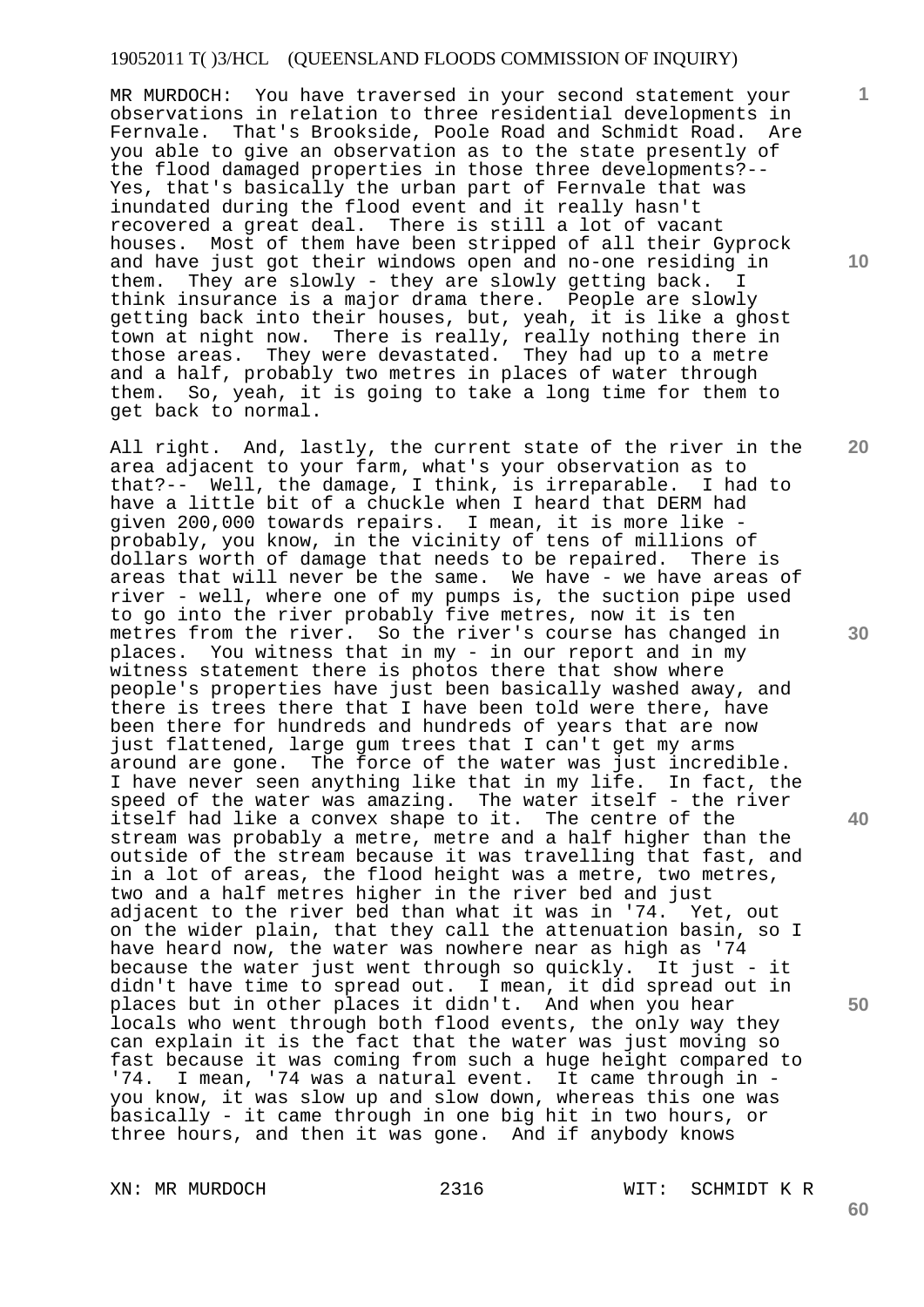## 19052011 T( )3/HCL (QUEENSLAND FLOODS COMMISSION OF INQUIRY)

MR MURDOCH: You have traversed in your second statement your observations in relation to three residential developments in Fernvale. That's Brookside, Poole Road and Schmidt Road. Are you able to give an observation as to the state presently of the flood damaged properties in those three developments?-- Yes, that's basically the urban part of Fernvale that was inundated during the flood event and it really hasn't recovered a great deal. There is still a lot of vacant houses. Most of them have been stripped of all their Gyprock and have just got their windows open and no-one residing in them. They are slowly - they are slowly getting back. I think insurance is a major drama there. People are slowly getting back into their houses, but, yeah, it is like a ghost town at night now. There is really, really nothing there in those areas. They were devastated. They had up to a metre and a half, probably two metres in places of water through them. So, yeah, it is going to take a long time for them to get back to normal.

All right. And, lastly, the current state of the river in the area adjacent to your farm, what's your observation as to<br>that?-- Well, the damage, I think, is irreparable. I had to that?-- Well, the damage, I think, is irreparable. have a little bit of a chuckle when I heard that DERM had given 200,000 towards repairs. I mean, it is more like probably, you know, in the vicinity of tens of millions of dollars worth of damage that needs to be repaired. There is areas that will never be the same. We have - we have areas of river - well, where one of my pumps is, the suction pipe used to go into the river probably five metres, now it is ten metres from the river. So the river's course has changed in places. You witness that in my - in our report and in my witness statement there is photos there that show where people's properties have just been basically washed away, and there is trees there that I have been told were there, have been there for hundreds and hundreds of years that are now just flattened, large gum trees that I can't get my arms around are gone. The force of the water was just incredible. I have never seen anything like that in my life. In fact, the speed of the water was amazing. The water itself - the river itself had like a convex shape to it. The centre of the stream was probably a metre, metre and a half higher than the outside of the stream because it was travelling that fast, and in a lot of areas, the flood height was a metre, two metres, two and a half metres higher in the river bed and just adjacent to the river bed than what it was in '74. Yet, out on the wider plain, that they call the attenuation basin, so I have heard now, the water was nowhere near as high as '74 because the water just went through so quickly. It just - it didn't have time to spread out. I mean, it did spread out in places but in other places it didn't. And when you hear locals who went through both flood events, the only way they can explain it is the fact that the water was just moving so fast because it was coming from such a huge height compared to '74. I mean, '74 was a natural event. It came through in you know, it was slow up and slow down, whereas this one was basically - it came through in one big hit in two hours, or three hours, and then it was gone. And if anybody knows

XN: MR MURDOCH 2316 WIT: SCHMIDT K R

**30** 

**20** 

**40** 

**50** 

**10** 

**1**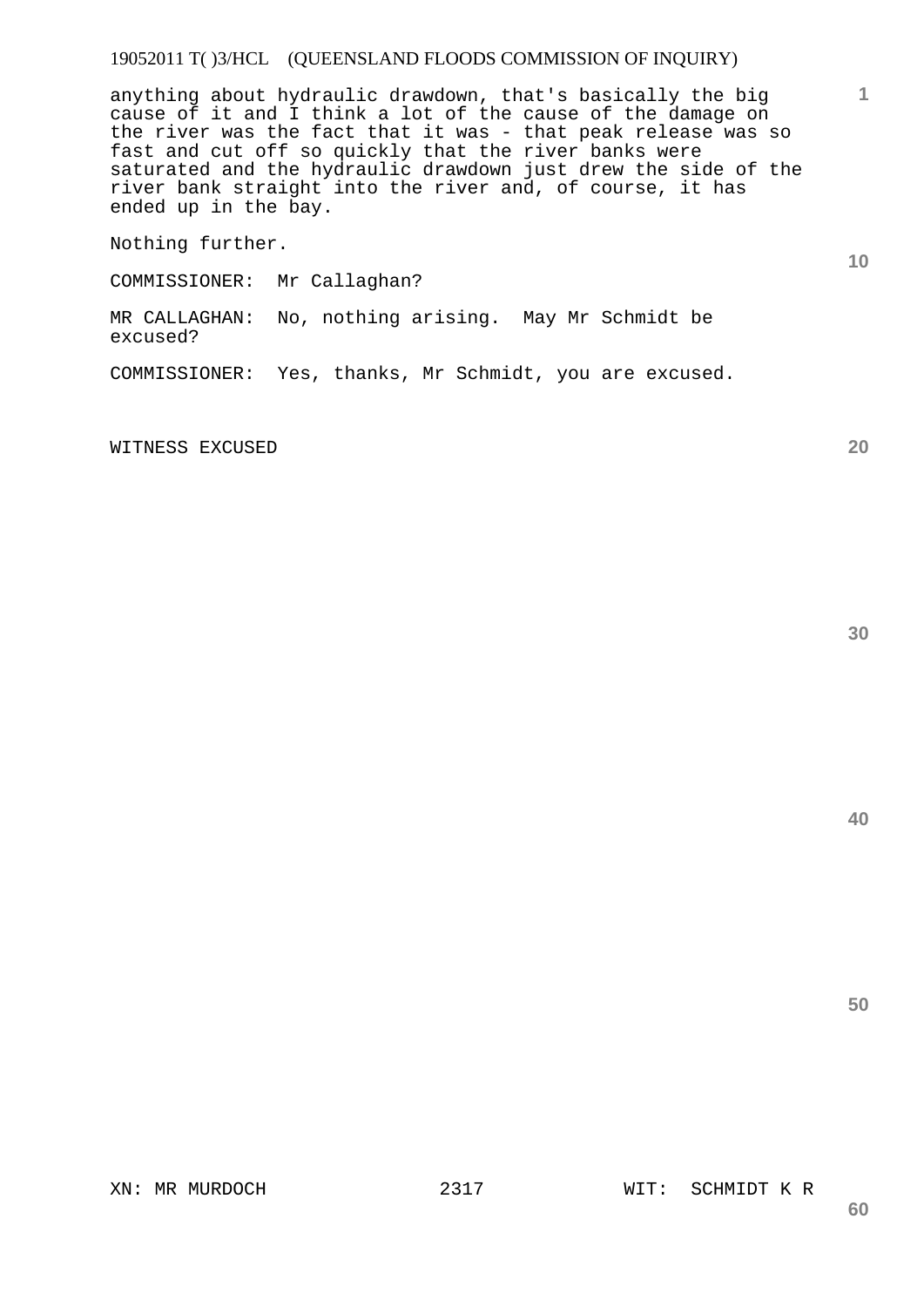## 19052011 T( )3/HCL (QUEENSLAND FLOODS COMMISSION OF INQUIRY)

anything about hydraulic drawdown, that's basically the big cause of it and I think a lot of the cause of the damage on the river was the fact that it was - that peak release was so fast and cut off so quickly that the river banks were saturated and the hydraulic drawdown just drew the side of the river bank straight into the river and, of course, it has ended up in the bay.

Nothing further.

COMMISSIONER: Mr Callaghan?

MR CALLAGHAN: No, nothing arising. May Mr Schmidt be excused?

COMMISSIONER: Yes, thanks, Mr Schmidt, you are excused.

WITNESS EXCUSED

**30** 

**20** 

**40**